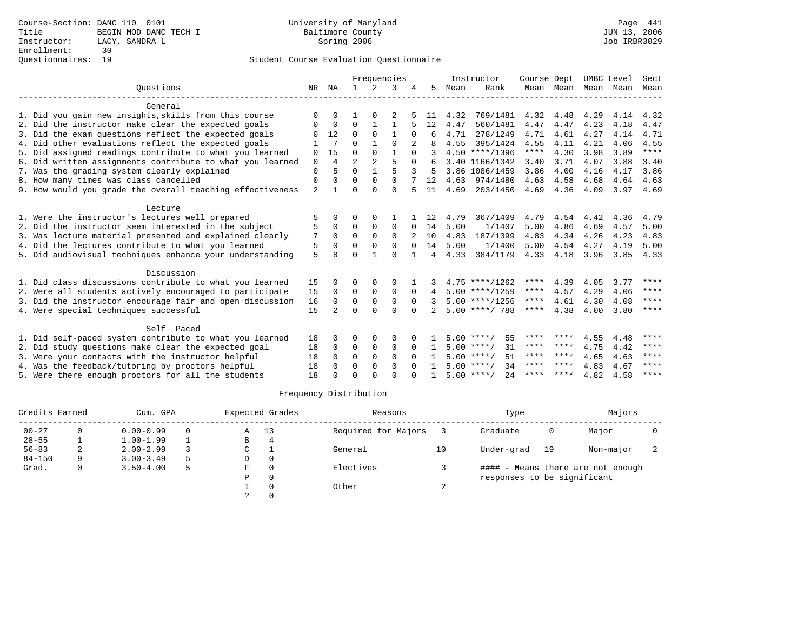|                                                           |                |                |                |              | Frequencies  |          |    |      | Instructor          | Course Dept |      |                     | UMBC Level | Sect        |
|-----------------------------------------------------------|----------------|----------------|----------------|--------------|--------------|----------|----|------|---------------------|-------------|------|---------------------|------------|-------------|
| Ouestions                                                 | NR             | ΝA             | $\mathbf{1}$   | 2            | 3            |          | 5  | Mean | Rank                |             |      | Mean Mean Mean Mean |            | Mean        |
| General                                                   |                |                |                |              |              |          |    |      |                     |             |      |                     |            |             |
| 1. Did you gain new insights, skills from this course     | $\Omega$       | $\Omega$       |                | $\Omega$     |              |          | 11 | 4.32 | 769/1481            | 4.32        | 4.48 | 4.29                | 4.14       | 4.32        |
| 2. Did the instructor make clear the expected goals       | 0              | 0              | $\mathbf 0$    | 1            | $\mathbf{1}$ |          | 12 | 4.47 | 560/1481            | 4.47        | 4.47 | 4.23                | 4.18       | 4.47        |
| 3. Did the exam questions reflect the expected goals      | <sup>0</sup>   | 12             | $\Omega$       | $\Omega$     | $\mathbf{1}$ | $\Omega$ |    | 4.71 | 278/1249            | 4.71        | 4.61 | 4.27                | 4.14       | 4.71        |
| 4. Did other evaluations reflect the expected goals       |                | 7              | $\Omega$       |              | $\Omega$     |          |    | 4.55 | 395/1424            | 4.55        | 4.11 | 4.21                | 4.06       | 4.55        |
| 5. Did assigned readings contribute to what you learned   | 0              | 15             | $\Omega$       | $\Omega$     | $\mathbf{1}$ | $\Omega$ |    |      | $4.50$ ****/1396    | $***$ * *   | 4.30 | 3.98                | 3.89       | $***$       |
| 6. Did written assignments contribute to what you learned | $\mathbf 0$    | $\overline{4}$ | $\overline{a}$ | 2            | 5            | $\Omega$ |    |      | 3.40 1166/1342      | 3.40        | 3.71 | 4.07                | 3.88       | 3.40        |
| 7. Was the grading system clearly explained               | $\mathbf{0}$   | 5              | $\Omega$       | $\mathbf{1}$ | 5            | 3        |    |      | 3.86 1086/1459      | 3.86        | 4.00 | 4.16                | 4.17       | 3.86        |
| 8. How many times was class cancelled                     | $\mathbf{0}$   | $\Omega$       | $\Omega$       | $\Omega$     | $\Omega$     |          | 12 |      | 4.63 974/1480       | 4.63        | 4.58 | 4.68                | 4.64       | 4.63        |
| 9. How would you grade the overall teaching effectiveness | $\overline{2}$ | $\mathbf{1}$   | $\Omega$       | $\Omega$     | $\Omega$     |          | 11 | 4.69 | 203/1450            | 4.69        | 4.36 | 4.09                | 3.97       | 4.69        |
| Lecture                                                   |                |                |                |              |              |          |    |      |                     |             |      |                     |            |             |
| 1. Were the instructor's lectures well prepared           |                | U              | O              | $\Omega$     |              |          | 12 | 4.79 | 367/1409            | 4.79        | 4.54 | 4.42                | 4.36       | 4.79        |
| 2. Did the instructor seem interested in the subject      | 5              | 0              | $\Omega$       | $\mathbf 0$  | $\mathbf 0$  | $\Omega$ | 14 | 5.00 | 1/1407              | 5.00        | 4.86 | 4.69                | 4.57       | 5.00        |
| 3. Was lecture material presented and explained clearly   | 7              | $\Omega$       | $\Omega$       | $\Omega$     | $\Omega$     |          | 10 | 4.83 | 187/1399            | 4.83        | 4.34 | 4.26                | 4.23       | 4.83        |
| 4. Did the lectures contribute to what you learned        | 5              | $\Omega$       | $\Omega$       | $\Omega$     | $\Omega$     | $\Omega$ | 14 | 5.00 | 1/1400              | 5.00        | 4.54 | 4.27                | 4.19       | 5.00        |
| 5. Did audiovisual techniques enhance your understanding  | 5              | 8              | $\Omega$       |              | $\Omega$     |          | 4  | 4.33 | 384/1179            | 4.33        | 4.18 | 3.96                | 3.85       | 4.33        |
| Discussion                                                |                |                |                |              |              |          |    |      |                     |             |      |                     |            |             |
| 1. Did class discussions contribute to what you learned   | 15             | 0              | O              | $\Omega$     | O            |          |    |      | $4.75$ ****/1262    | ****        | 4.39 | 4.05                | 3.77       | ****        |
| 2. Were all students actively encouraged to participate   | 15             | $\mathbf 0$    | $\mathbf 0$    | $\mathbf 0$  | $\mathbf{0}$ | $\Omega$ |    |      | $5.00$ ****/1259    | ****        | 4.57 | 4.29                | 4.06       | ****        |
| 3. Did the instructor encourage fair and open discussion  | 16             | $\Omega$       | $\Omega$       | $\Omega$     | $\Omega$     | $\Omega$ | 3  |      | $5.00$ ****/1256    | ****        | 4.61 | 4.30                | 4.08       | $***$ * * * |
| 4. Were special techniques successful                     | 15             |                | $\Omega$       | $\Omega$     | $\Omega$     | $\Omega$ |    |      | $5.00$ ****/ 788    | ****        | 4.38 | 4.00                | 3.80       | ****        |
| Self Paced                                                |                |                |                |              |              |          |    |      |                     |             |      |                     |            |             |
| 1. Did self-paced system contribute to what you learned   | 18             | 0              | O              | $\Omega$     | O            |          |    |      | $5.00$ ****/<br>55  | **** ****   |      | 4.55                | 4.48       | * * * *     |
| 2. Did study questions make clear the expected goal       | 18             | $\mathbf 0$    | 0              | $\mathbf 0$  | $\mathbf 0$  | $\Omega$ |    |      | $5.00$ ****/<br>31  | **** ****   |      | 4.75                | 4.42       | $***$ *     |
| 3. Were your contacts with the instructor helpful         | 18             | $\Omega$       | $\Omega$       | $\Omega$     | $\Omega$     | $\Omega$ |    |      | 51<br>$5.00$ ****/  | **** ****   |      | 4.65                | 4.63       | $* * * * *$ |
| 4. Was the feedback/tutoring by proctors helpful          | 18             | $\Omega$       | $\Omega$       | $\Omega$     | $\Omega$     | $\Omega$ |    |      | $5.00$ ****/<br>34  | **** ****   |      | 4.83                | 4.67       | ****        |
| 5. Were there enough proctors for all the students        | 18             | $\Omega$       | $\Omega$       | $\cap$       | $\cap$       |          |    |      | $5.00$ ****/<br>2.4 | **** ****   |      | 4.82                | 4.58       | $***$ * * * |
|                                                           |                |                |                |              |              |          |    |      |                     |             |      |                     |            |             |

| Credits Earned |    | Cum. GPA      |          |   | Expected Grades | Reasons             |        | Type                        |    | Majors                            |  |
|----------------|----|---------------|----------|---|-----------------|---------------------|--------|-----------------------------|----|-----------------------------------|--|
| $00 - 27$      |    | $0.00 - 0.99$ | $\Omega$ | Α | 13              | Required for Majors |        | Graduate                    | 0  | Major                             |  |
| $28 - 55$      |    | $1.00 - 1.99$ |          | В |                 |                     |        |                             |    |                                   |  |
| $56 - 83$      | ∠  | $2.00 - 2.99$ |          | C |                 | General             | 10     | Under-grad                  | 19 | Non-major                         |  |
| $84 - 150$     | 9. | $3.00 - 3.49$ | 5        | D |                 |                     |        |                             |    |                                   |  |
| Grad.          | 0  | $3.50 - 4.00$ | 5        | F |                 | Electives           |        |                             |    | #### - Means there are not enough |  |
|                |    |               |          | P |                 |                     |        | responses to be significant |    |                                   |  |
|                |    |               |          |   |                 | Other               | $\sim$ |                             |    |                                   |  |
|                |    |               |          |   |                 |                     |        |                             |    |                                   |  |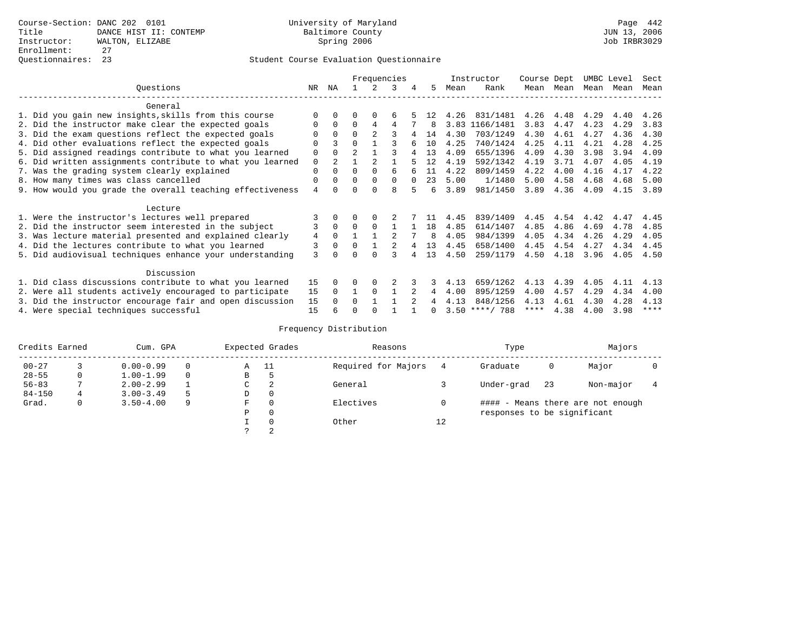|                                                           |                |                |                |                | Frequencies |          |              |      | Instructor       | Course Dept |      | UMBC Level |      | Sect        |
|-----------------------------------------------------------|----------------|----------------|----------------|----------------|-------------|----------|--------------|------|------------------|-------------|------|------------|------|-------------|
| Ouestions                                                 | NR.            | ΝA             |                |                | 3           | 4        | 5.           | Mean | Rank             | Mean        | Mean | Mean       | Mean | Mean        |
| General                                                   |                |                |                |                |             |          |              |      |                  |             |      |            |      |             |
| 1. Did you gain new insights, skills from this course     | $\Omega$       | $\Omega$       | O              | $\Omega$       | 6           |          | 12           | 4.26 | 831/1481         | 4.26        | 4.48 | 4.29       | 4.40 | 4.26        |
| 2. Did the instructor make clear the expected goals       | 0              | $\Omega$       | $\Omega$       | 4              | 4           |          | 8            | 3.83 | 1166/1481        | 3.83        | 4.47 | 4.23       | 4.29 | 3.83        |
| 3. Did the exam questions reflect the expected goals      | 0              | $\Omega$       | $\Omega$       | $\mathfrak{D}$ |             |          | 14           | 4.30 | 703/1249         | 4.30        | 4.61 | 4.27       | 4.36 | 4.30        |
| 4. Did other evaluations reflect the expected goals       | O              |                | $\Omega$       |                |             |          | 10           | 4.25 | 740/1424         | 4.25        | 4.11 | 4.21       | 4.28 | 4.25        |
| 5. Did assigned readings contribute to what you learned   | $\mathbf 0$    | $\Omega$       | $\mathfrak{D}$ |                | ς           |          | 13           | 4.09 | 655/1396         | 4.09        | 4.30 | 3.98       | 3.94 | 4.09        |
| 6. Did written assignments contribute to what you learned | $\mathbf 0$    | $\mathfrak{D}$ |                |                |             |          | 12           | 4.19 | 592/1342         | 4.19        | 3.71 | 4.07       | 4.05 | 4.19        |
| 7. Was the grading system clearly explained               | $\Omega$       | $\Omega$       | $\Omega$       | $\Omega$       | 6           |          | 11           | 4.22 | 809/1459         | 4.22        | 4.00 | 4.16       | 4.17 | 4.22        |
| 8. How many times was class cancelled                     | 0              | $\Omega$       | $\Omega$       | $\Omega$       | $\Omega$    | $\Omega$ | 23           | 5.00 | 1/1480           | 5.00        | 4.58 | 4.68       | 4.68 | 5.00        |
| 9. How would you grade the overall teaching effectiveness | $\overline{4}$ | <sup>n</sup>   | U              | ∩              | R           |          | 6            | 3.89 | 981/1450         | 3.89        | 4.36 | 4.09       | 4.15 | 3.89        |
| Lecture                                                   |                |                |                |                |             |          |              |      |                  |             |      |            |      |             |
| 1. Were the instructor's lectures well prepared           |                |                |                |                |             |          |              | 4.45 | 839/1409         | 4.45        | 4.54 | 4.42       | 4.47 | 4.45        |
| 2. Did the instructor seem interested in the subject      | 3              | $\Omega$       | $\Omega$       | $\Omega$       |             |          | 18           | 4.85 | 614/1407         | 4.85        | 4.86 | 4.69       | 4.78 | 4.85        |
| 3. Was lecture material presented and explained clearly   | 4              | $\Omega$       |                |                |             |          | 8            | 4.05 | 984/1399         | 4.05        | 4.34 | 4.26       | 4.29 | 4.05        |
| 4. Did the lectures contribute to what you learned        | 3              | $\Omega$       | $\Omega$       |                |             |          | 13           | 4.45 | 658/1400         | 4.45        | 4.54 | 4.27       | 4.34 | 4.45        |
| 5. Did audiovisual techniques enhance your understanding  | 3              |                |                |                |             |          | 13           | 4.50 | 259/1179         | 4.50        | 4.18 | 3.96       | 4.05 | 4.50        |
|                                                           |                |                |                |                |             |          |              |      |                  |             |      |            |      |             |
| Discussion                                                |                |                |                |                |             |          |              |      |                  |             |      |            |      |             |
| 1. Did class discussions contribute to what you learned   | 15             | $\Omega$       | U              | $\Omega$       |             |          |              | 4.13 | 659/1262         | 4.13        | 4.39 | 4.05       | 4.11 | 4.13        |
| 2. Were all students actively encouraged to participate   | 15             | $\Omega$       |                | $\Omega$       |             |          | 4            | 4.00 | 895/1259         | 4.00        | 4.57 | 4.29       | 4.34 | 4.00        |
| 3. Did the instructor encourage fair and open discussion  | 15             |                | $\Omega$       |                |             |          |              | 4.13 | 848/1256         | 4.13        | 4.61 | 4.30       | 4.28 | 4.13        |
| 4. Were special techniques successful                     | 15             |                |                |                |             |          | <sup>n</sup> |      | $3.50$ ****/ 788 | ****        | 4.38 | 4.00       | 3.98 | $***$ * * * |

| Credits Earned |              | Cum. GPA      |          |   | Expected Grades | Reasons             |    | Type                        |     | Majors                            |  |
|----------------|--------------|---------------|----------|---|-----------------|---------------------|----|-----------------------------|-----|-----------------------------------|--|
| $00 - 27$      |              | $0.00 - 0.99$ |          | Α | - 11            | Required for Majors | 4  | Graduate                    | 0   | Major                             |  |
| $28 - 55$      | $\mathbf{0}$ | $1.00 - 1.99$ | $\Omega$ | В | c               |                     |    |                             |     |                                   |  |
| $56 - 83$      |              | $2.00 - 2.99$ |          | C | 2               | General             |    | Under-grad                  | -23 | Non-major                         |  |
| $84 - 150$     |              | $3.00 - 3.49$ |          | D | 0               |                     |    |                             |     |                                   |  |
| Grad.          | 0            | $3.50 - 4.00$ | 9        | F | $\Omega$        | Electives           |    |                             |     | #### - Means there are not enough |  |
|                |              |               |          | Ρ | 0               |                     |    | responses to be significant |     |                                   |  |
|                |              |               |          |   | $\Omega$        | Other               | 12 |                             |     |                                   |  |
|                |              |               |          |   |                 |                     |    |                             |     |                                   |  |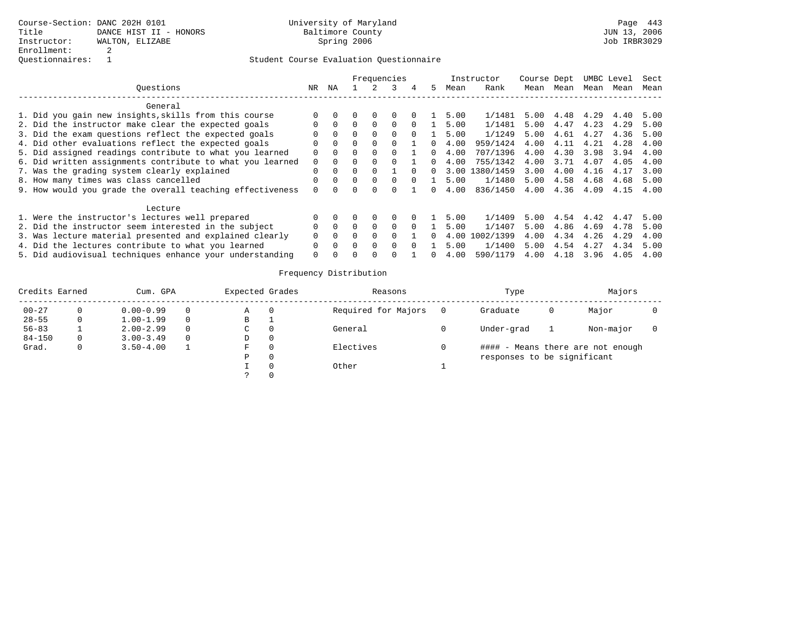|                                                           |              |          |          |          | Frequencies  |   |    |      | Instructor | Course Dept |      |      | UMBC Level | Sect |
|-----------------------------------------------------------|--------------|----------|----------|----------|--------------|---|----|------|------------|-------------|------|------|------------|------|
| Ouestions                                                 | NR           | ΝA       |          |          | 3            | 4 | 5. | Mean | Rank       | Mean        | Mean | Mean | Mean       | Mean |
| General                                                   |              |          |          |          |              |   |    |      |            |             |      |      |            |      |
| 1. Did you gain new insights, skills from this course     |              |          |          | $\Box$   | <sup>0</sup> |   |    | 5.00 | 1/1481     | 5.00        | 4.48 | 4.29 | 4.40       | 5.00 |
| 2. Did the instructor make clear the expected goals       |              | $\Omega$ |          |          | <sup>0</sup> |   |    | 5.00 | 1/1481     | 5.00        | 4.47 | 4.23 | 4.29       | 5.00 |
| 3. Did the exam questions reflect the expected goals      |              | $\Omega$ |          | $\cap$   | <sup>0</sup> |   |    | 5.00 | 1/1249     | 5.00        | 4.61 | 4.27 | 4.36       | 5.00 |
| 4. Did other evaluations reflect the expected goals       |              | $\Omega$ |          | $\Omega$ |              |   |    | 4.00 | 959/1424   | 4.00        | 4.11 | 4.21 | 4.28       | 4.00 |
| 5. Did assigned readings contribute to what you learned   | U            | $\Omega$ | $\Omega$ | $\Omega$ | $\Omega$     |   |    | 4.00 | 707/1396   | 4.00        | 4.30 | 3.98 | 3.94       | 4.00 |
| 6. Did written assignments contribute to what you learned | 0            | $\Omega$ |          |          |              |   |    | 4.00 | 755/1342   | 4.00        | 3.71 | 4.07 | 4.05       | 4.00 |
| 7. Was the grading system clearly explained               | $\Omega$     | $\Omega$ |          |          |              |   | n. | 3.00 | 1380/1459  | 3.00        | 4.00 | 4.16 | 4.17       | 3.00 |
| 8. How many times was class cancelled                     | U            | $\Omega$ | $\Omega$ | $\Omega$ | $\cap$       |   |    | 5.00 | 1/1480     | 5.00        | 4.58 | 4.68 | 4.68       | 5.00 |
| 9. How would you grade the overall teaching effectiveness | <sup>n</sup> |          |          |          |              |   |    | 4.00 | 836/1450   | 4.00        | 4.36 | 4.09 | 4.15       | 4.00 |
| Lecture                                                   |              |          |          |          |              |   |    |      |            |             |      |      |            |      |
| 1. Were the instructor's lectures well prepared           |              |          |          | $\Omega$ | <sup>0</sup> |   |    | 5.00 | 1/1409     | 5.00        | 4.54 | 4.42 | 4.47       | 5.00 |
| 2. Did the instructor seem interested in the subject      | 0            | $\Omega$ |          | $\Box$   | $\Omega$     |   |    | 5.00 | 1/1407     | 5.00        | 4.86 | 4.69 | 4.78       | 5.00 |
| 3. Was lecture material presented and explained clearly   |              | $\Omega$ |          |          |              |   |    | 4.00 | 1002/1399  | 4.00        | 4.34 | 4.26 | 4.29       | 4.00 |
| 4. Did the lectures contribute to what you learned        | $\Omega$     | $\Omega$ |          | $\cap$   | <sup>n</sup> |   |    | 5.00 | 1/1400     | 5.00        | 4.54 | 4.27 | 4.34       | 5.00 |
| 5. Did audiovisual techniques enhance your understanding  | $\Omega$     |          |          |          |              |   |    | 4.00 | 590/1179   | 4.00        | 4.18 | 3.96 | 4.05       | 4.00 |

| Credits Earned |    | Cum. GPA      |          | Expected Grades | Reasons             | Type                        |   | Majors                            |  |
|----------------|----|---------------|----------|-----------------|---------------------|-----------------------------|---|-----------------------------------|--|
| $00 - 27$      |    | $0.00 - 0.99$ | 0        | Α               | Required for Majors | Graduate                    | O | Major                             |  |
| $28 - 55$      | 0  | $1.00 - 1.99$ | $\Omega$ | В               |                     |                             |   |                                   |  |
| $56 - 83$      |    | $2.00 - 2.99$ | $\Omega$ | C               | General             | Under-grad                  |   | Non-major                         |  |
| $84 - 150$     | 0. | $3.00 - 3.49$ | $\Omega$ | D               |                     |                             |   |                                   |  |
| Grad.          |    | $3.50 - 4.00$ |          | F               | Electives           |                             |   | #### - Means there are not enough |  |
|                |    |               |          | P               |                     | responses to be significant |   |                                   |  |
|                |    |               |          |                 | Other               |                             |   |                                   |  |
|                |    |               |          |                 |                     |                             |   |                                   |  |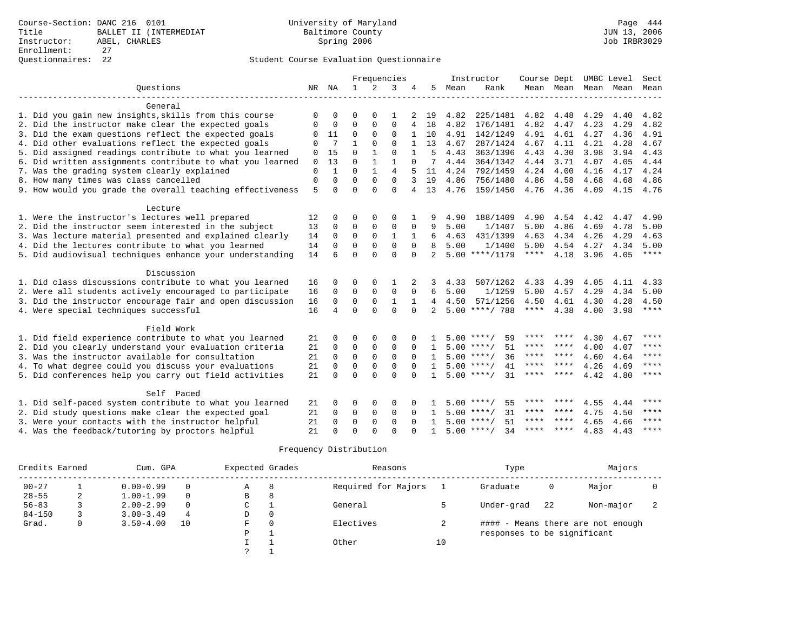|                                                           |             |              |              |              | Frequencies    |          |              |      | Instructor         | Course Dept |         | UMBC Level |      | Sect        |
|-----------------------------------------------------------|-------------|--------------|--------------|--------------|----------------|----------|--------------|------|--------------------|-------------|---------|------------|------|-------------|
| Ouestions                                                 | NR          | ΝA           | $\mathbf{1}$ | 2            | 3              | 4        | .5           | Mean | Rank               | Mean Mean   |         | Mean       | Mean | Mean        |
|                                                           |             |              |              |              |                |          |              |      |                    |             |         |            |      |             |
| General                                                   |             |              |              |              |                |          |              |      |                    |             |         |            |      |             |
| 1. Did you gain new insights, skills from this course     | ∩           | $\Omega$     | ∩            | $\cap$       | 1              |          | 19           | 4.82 | 225/1481           | 4.82        | 4.48    | 4.29       | 4.40 | 4.82        |
| 2. Did the instructor make clear the expected goals       | 0           | $\Omega$     | $\Omega$     | 0            | $\Omega$       |          | 18           | 4.82 | 176/1481           | 4.82        | 4.47    | 4.23       | 4.29 | 4.82        |
| 3. Did the exam questions reflect the expected goals      | 0           | 11           | 0            | 0            | 0              |          | 10           | 4.91 | 142/1249           | 4.91        | 4.61    | 4.27       | 4.36 | 4.91        |
| 4. Did other evaluations reflect the expected goals       | $\Omega$    | 7            |              | $\Omega$     | $\Omega$       |          | 13           | 4.67 | 287/1424           | 4.67        | 4.11    | 4.21       | 4.28 | 4.67        |
| 5. Did assigned readings contribute to what you learned   | 0           | 15           | 0            |              | 0              |          | 5            | 4.43 | 363/1396           | 4.43        | 4.30    | 3.98       | 3.94 | 4.43        |
| 6. Did written assignments contribute to what you learned | 0           | 13           | $\Omega$     |              | 1              |          | 7            | 4.44 | 364/1342           | 4.44        | 3.71    | 4.07       | 4.05 | 4.44        |
| 7. Was the grading system clearly explained               | $\mathbf 0$ | $\mathbf{1}$ | $\Omega$     | $\mathbf{1}$ | $\overline{4}$ |          | 11           | 4.24 | 792/1459           | 4.24        | 4.00    | 4.16       | 4.17 | 4.24        |
| 8. How many times was class cancelled                     | 0           | $\Omega$     | $\Omega$     | $\Omega$     | $\Omega$       | 3        | 19           | 4.86 | 756/1480           | 4.86        | 4.58    | 4.68       | 4.68 | 4.86        |
| 9. How would you grade the overall teaching effectiveness | 5           | $\Omega$     | $\Omega$     | $\Omega$     | $\Omega$       | 4        | 13           | 4.76 | 159/1450           | 4.76 4.36   |         | 4.09       | 4.15 | 4.76        |
| Lecture                                                   |             |              |              |              |                |          |              |      |                    |             |         |            |      |             |
| 1. Were the instructor's lectures well prepared           | 12          | $\Omega$     | 0            | 0            | 0              |          | 9            | 4.90 | 188/1409           | 4.90        | 4.54    | 4.42       | 4.47 | 4.90        |
| 2. Did the instructor seem interested in the subject      | 13          | 0            | $\Omega$     | 0            | $\Omega$       | 0        | 9            | 5.00 | 1/1407             | 5.00        | 4.86    | 4.69       | 4.78 | 5.00        |
| 3. Was lecture material presented and explained clearly   | 14          | 0            | 0            | 0            | 1              |          | 6            | 4.63 | 431/1399           | 4.63        | 4.34    | 4.26       | 4.29 | 4.63        |
| 4. Did the lectures contribute to what you learned        | 14          | $\Omega$     | $\Omega$     | $\Omega$     | $\Omega$       | $\Omega$ | 8            | 5.00 | 1/1400             | 5.00        | 4.54    | 4.27       | 4.34 | 5.00        |
| 5. Did audiovisual techniques enhance your understanding  | 14          | 6            | $\Omega$     | $\Omega$     | $\Omega$       | $\Omega$ | $2^{\circ}$  |      | $5.00$ ****/1179   | $***$ * * * | 4.18    | 3.96       | 4.05 | $***$ * * * |
|                                                           |             |              |              |              |                |          |              |      |                    |             |         |            |      |             |
| Discussion                                                |             |              |              |              |                |          |              |      |                    |             |         |            |      |             |
| 1. Did class discussions contribute to what you learned   | 16          | $\Omega$     | $\Omega$     | 0            |                | 2        | 3            | 4.33 | 507/1262           | 4.33        | 4.39    | 4.05       | 4.11 | 4.33        |
| 2. Were all students actively encouraged to participate   | 16          | 0            | $\Omega$     | $\mathbf{0}$ | $\mathbf 0$    | $\Omega$ | 6            | 5.00 | 1/1259             | 5.00        | 4.57    | 4.29       | 4.34 | 5.00        |
| 3. Did the instructor encourage fair and open discussion  | 16          | $\Omega$     | $\Omega$     | $\Omega$     | $\mathbf{1}$   | 1        | 4            | 4.50 | 571/1256           | 4.50        | 4.61    | 4.30       | 4.28 | 4.50        |
| 4. Were special techniques successful                     | 16          | 4            | $\Omega$     | $\cap$       | $\Omega$       | $\Omega$ | 2            |      | $5.00$ ****/ 788   | $***$ * * * | 4.38    | 4.00       | 3.98 | ****        |
| Field Work                                                |             |              |              |              |                |          |              |      |                    |             |         |            |      |             |
| 1. Did field experience contribute to what you learned    | 21          | $\Omega$     | $\Omega$     | 0            | 0              |          |              |      | $5.00$ ****/<br>59 | ****        | ****    | 4.30       | 4.67 | ****        |
| 2. Did you clearly understand your evaluation criteria    | 21          | $\mathbf 0$  | $\mathbf 0$  | 0            | $\mathbf 0$    | $\Omega$ | $\mathbf{1}$ |      | $5.00$ ****/<br>51 | ****        | ****    | 4.00       | 4.07 | ****        |
| 3. Was the instructor available for consultation          | 21          | $\Omega$     | $\mathbf 0$  | $\mathbf 0$  | $\mathbf 0$    | $\Omega$ | $\mathbf{1}$ |      | $5.00$ ****/<br>36 | **** ****   |         | 4.60       | 4.64 | ****        |
|                                                           |             |              |              |              |                |          |              |      | $5.00$ ****/<br>41 | ****        | ****    |            |      | $* * * * *$ |
| 4. To what degree could you discuss your evaluations      | 21          | $\Omega$     | $\Omega$     | $\Omega$     | $\Omega$       | $\Omega$ | $\mathbf{1}$ |      |                    | ****        | ****    | 4.26       | 4.69 | $* * * * *$ |
| 5. Did conferences help you carry out field activities    | 21          | $\Omega$     | $\Omega$     | $\Omega$     | $\Omega$       | $\cap$   | $\mathbf{1}$ |      | $5.00$ ****/<br>31 |             |         | 4.42       | 4.80 |             |
| Self Paced                                                |             |              |              |              |                |          |              |      |                    |             |         |            |      |             |
| 1. Did self-paced system contribute to what you learned   | 21          | $\Omega$     | 0            | 0            | $\Omega$       |          |              |      | 55<br>$5.00$ ****/ | ****        | ****    | 4.55       | 4.44 | ****        |
| 2. Did study questions make clear the expected goal       | 21          | 0            | 0            | 0            | 0              | $\Omega$ |              |      | 31<br>$5.00$ ****/ | ****        | ****    | 4.75       | 4.50 | $***$       |
| 3. Were your contacts with the instructor helpful         | 21          | $\Omega$     | $\Omega$     | $\mathbf 0$  | $\Omega$       |          |              |      | $5.00$ ****/<br>51 | ****        | ****    | 4.65       | 4.66 | $***$ * * * |
| 4. Was the feedback/tutoring by proctors helpful          | 21          | $\Omega$     | $\Omega$     | $\cap$       | $\Omega$       |          | $\mathbf{1}$ |      | $5.00$ ****/<br>34 | ****        | $***$ * | 4.83       | 4.43 | $***$ *     |

| Credits Earned |   | Cum. GPA      |          | Expected Grades |    | Reasons             |    | Type                        |      | Majors                            |  |
|----------------|---|---------------|----------|-----------------|----|---------------------|----|-----------------------------|------|-----------------------------------|--|
| $00 - 27$      |   | $0.00 - 0.99$ | $\Omega$ | Α               | -8 | Required for Majors |    | Graduate                    | 0    | Major                             |  |
| $28 - 55$      | ∠ | $1.00 - 1.99$ | $\Omega$ | В               | 8  |                     |    |                             |      |                                   |  |
| $56 - 83$      |   | $2.00 - 2.99$ | $\Omega$ | C               |    | General             |    | Under-grad                  | 2.2. | Non-major                         |  |
| $84 - 150$     |   | $3.00 - 3.49$ | 4        | D               |    |                     |    |                             |      |                                   |  |
| Grad.          | 0 | $3.50 - 4.00$ | 10       | F               |    | Electives           | 2  |                             |      | #### - Means there are not enough |  |
|                |   |               |          | Ρ               |    |                     |    | responses to be significant |      |                                   |  |
|                |   |               |          |                 |    | Other               | 10 |                             |      |                                   |  |
|                |   |               |          |                 |    |                     |    |                             |      |                                   |  |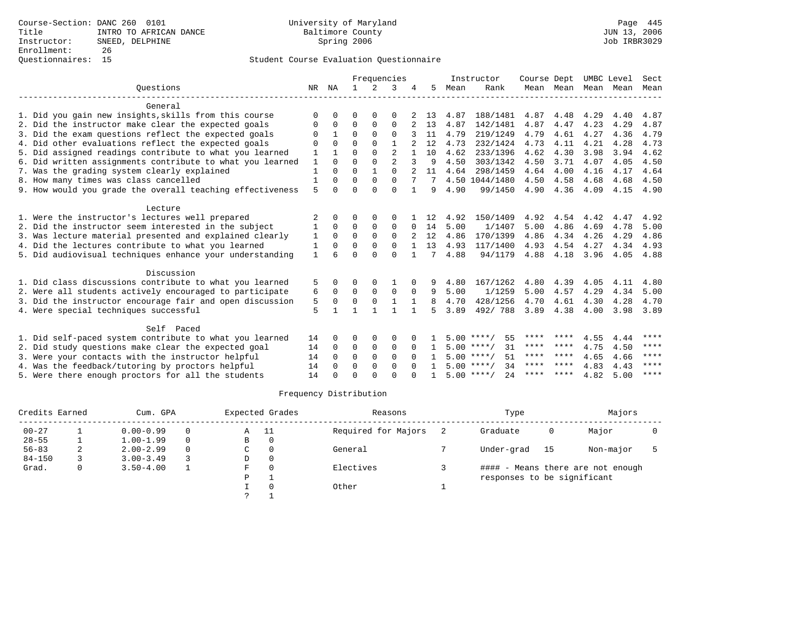|                                                           |              |             |              |             | Frequencies    |              |     |      | Instructor          | Course Dept |           | UMBC Level |      | Sect        |
|-----------------------------------------------------------|--------------|-------------|--------------|-------------|----------------|--------------|-----|------|---------------------|-------------|-----------|------------|------|-------------|
| Ouestions                                                 | NR           | ΝA          | $\mathbf{1}$ | $2^{1}$     | २              |              | 5.  | Mean | Rank                |             | Mean Mean | Mean       | Mean | Mean        |
| General                                                   |              |             |              |             |                |              |     |      |                     |             |           |            |      |             |
| 1. Did you gain new insights, skills from this course     | $\Omega$     | $\Omega$    | $\Omega$     | $\Omega$    | $\Omega$       |              | 13  | 4.87 | 188/1481            | 4.87        | 4.48      | 4.29       | 4.40 | 4.87        |
| 2. Did the instructor make clear the expected goals       | 0            | $\Omega$    | $\Omega$     | $\Omega$    | $\Omega$       |              | 13  | 4.87 | 142/1481            | 4.87        | 4.47      | 4.23       | 4.29 | 4.87        |
| 3. Did the exam questions reflect the expected goals      | $\Omega$     |             | $\Omega$     | $\Omega$    | 0              |              | 11  | 4.79 | 219/1249            | 4.79        | 4.61      | 4.27       | 4.36 | 4.79        |
| 4. Did other evaluations reflect the expected goals       | $\Omega$     | $\Omega$    | $\Omega$     | $\Omega$    |                |              | 12  | 4.73 | 232/1424            | 4.73        | 4.11      | 4.21       | 4.28 | 4.73        |
| 5. Did assigned readings contribute to what you learned   |              |             | $\Omega$     | $\Omega$    | $\overline{2}$ |              | 10  | 4.62 | 233/1396            | 4.62        | 4.30      | 3.98       | 3.94 | 4.62        |
| 6. Did written assignments contribute to what you learned | 1            | $\Omega$    | $\Omega$     | $\Omega$    | $\overline{2}$ | 3            | 9   | 4.50 | 303/1342            | 4.50        | 3.71      | 4.07       | 4.05 | 4.50        |
| 7. Was the grading system clearly explained               |              | $\cap$      | $\Omega$     |             | $\cap$         |              | 11  | 4.64 | 298/1459            | 4.64        | 4.00      | 4.16       | 4.17 | 4.64        |
| 8. How many times was class cancelled                     |              |             | $\Omega$     | $\Omega$    | $\Omega$       |              |     |      | 4.50 1044/1480      | 4.50        | 4.58      | 4.68       | 4.68 | 4.50        |
| 9. How would you grade the overall teaching effectiveness | 5            | $\cap$      | $\Omega$     | $\cap$      | $\cap$         | $\mathbf{1}$ | 9   | 4.90 | 99/1450             | 4.90        | 4.36      | 4.09       | 4.15 | 4.90        |
| Lecture                                                   |              |             |              |             |                |              |     |      |                     |             |           |            |      |             |
| 1. Were the instructor's lectures well prepared           | 2            |             | ∩            |             | 0              |              | 12  | 4.92 | 150/1409            | 4.92        | 4.54      | 4.42       | 4.47 | 4.92        |
| 2. Did the instructor seem interested in the subject      | 1            | $\Omega$    | $\Omega$     | $\Omega$    | $\Omega$       | <sup>0</sup> | 14  | 5.00 | 1/1407              | 5.00        | 4.86      | 4.69       | 4.78 | 5.00        |
| 3. Was lecture material presented and explained clearly   | 1            | $\mathbf 0$ | 0            | $\mathbf 0$ | 0              |              | 12  | 4.86 | 170/1399            | 4.86        | 4.34      | 4.26       | 4.29 | 4.86        |
| 4. Did the lectures contribute to what you learned        | 1            | $\Omega$    | $\Omega$     | $\Omega$    | $\Omega$       |              | 13  | 4.93 | 117/1400            | 4.93        | 4.54      | 4.27       | 4.34 | 4.93        |
| 5. Did audiovisual techniques enhance your understanding  | $\mathbf{1}$ |             | $\Omega$     | $\Omega$    | $\Omega$       |              | 7   | 4.88 | 94/1179             | 4.88        | 4.18      | 3.96       | 4.05 | 4.88        |
| Discussion                                                |              |             |              |             |                |              |     |      |                     |             |           |            |      |             |
| 1. Did class discussions contribute to what you learned   | 5            |             | $\Omega$     | 0           |                |              | 9   | 4.80 | 167/1262            | 4.80        | 4.39      | 4.05       | 4.11 | 4.80        |
| 2. Were all students actively encouraged to participate   | 6            | $\Omega$    | $\Omega$     | $\Omega$    | $\Omega$       | $\Omega$     | 9   | 5.00 | 1/1259              | 5.00        | 4.57      | 4.29       | 4.34 | 5.00        |
| 3. Did the instructor encourage fair and open discussion  | 5            | $\Omega$    | $\Omega$     | $\Omega$    |                |              | 8   | 4.70 | 428/1256            | 4.70        | 4.61      | 4.30       | 4.28 | 4.70        |
| 4. Were special techniques successful                     | 5            |             | $\mathbf{1}$ |             |                |              | 5   | 3.89 | 492/788             | 3.89        | 4.38      | 4.00       | 3.98 | 3.89        |
| Self Paced                                                |              |             |              |             |                |              |     |      |                     |             |           |            |      |             |
| 1. Did self-paced system contribute to what you learned   | 14           | $\Omega$    | $\Omega$     | $\Omega$    | $\Omega$       |              |     |      | 55<br>$5.00$ ****/  | ****        | ****      | 4.55       | 4.44 | ****        |
| 2. Did study questions make clear the expected goal       | 14           | $\Omega$    | $\Omega$     | $\Omega$    | $\Omega$       | $\Omega$     | -1. |      | $5.00$ ****/<br>31  | **** ****   |           | 4.75       | 4.50 | ****        |
| 3. Were your contacts with the instructor helpful         | 14           | $\Omega$    | $\Omega$     | $\Omega$    | $\Omega$       | $\Omega$     |     |      | $5.00$ ****/<br>51  | **** ****   |           | 4.65       | 4.66 | $* * * * *$ |
| 4. Was the feedback/tutoring by proctors helpful          | 14           | $\cap$      | $\Omega$     | $\Omega$    | $\Omega$       |              |     |      | 34<br>$5.00$ ****/  | **** ****   |           | 4.83       | 4.43 | ****        |
| 5. Were there enough proctors for all the students        | 14           |             | $\Omega$     | $\cap$      | $\cap$         |              |     |      | $5.00$ ****/<br>2.4 | ****        | ****      | 4.82       | 5.00 | ****        |

| Credits Earned |   | Cum. GPA      |          |    | Expected Grades | Reasons             | Type                        |      | Majors                            |  |
|----------------|---|---------------|----------|----|-----------------|---------------------|-----------------------------|------|-----------------------------------|--|
| $00 - 27$      |   | $0.00 - 0.99$ | $\Omega$ | Α  | - 11            | Required for Majors | Graduate                    | 0    | Major                             |  |
| $28 - 55$      |   | $1.00 - 1.99$ | $\Omega$ | B  | $\Omega$        |                     |                             |      |                                   |  |
| $56 - 83$      |   | $2.00 - 2.99$ | $\Omega$ | C  |                 | General             | Under-grad                  | - 15 | Non-major                         |  |
| $84 - 150$     |   | $3.00 - 3.49$ |          | D  | $\Omega$        |                     |                             |      |                                   |  |
| Grad.          | 0 | $3.50 - 4.00$ |          | F. |                 | Electives           |                             |      | #### - Means there are not enough |  |
|                |   |               |          | P  |                 |                     | responses to be significant |      |                                   |  |
|                |   |               |          |    |                 | Other               |                             |      |                                   |  |
|                |   |               |          |    |                 |                     |                             |      |                                   |  |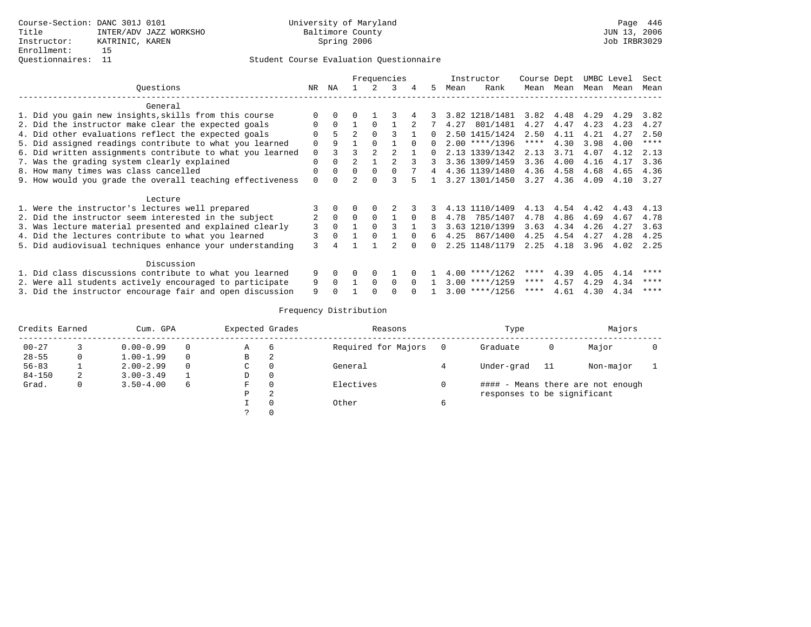|                                                           |          | Frequencies<br>NA<br>2<br>3<br>.5<br>4 |                |             |          |          |          |      | Instructor       | Course Dept |      | UMBC Level |      | Sect        |
|-----------------------------------------------------------|----------|----------------------------------------|----------------|-------------|----------|----------|----------|------|------------------|-------------|------|------------|------|-------------|
| Ouestions                                                 | NR       |                                        |                |             |          |          |          | Mean | Rank             | Mean Mean   |      | Mean       | Mean | Mean        |
| General                                                   |          |                                        |                |             |          |          |          |      |                  |             |      |            |      |             |
| 1. Did you gain new insights, skills from this course     |          |                                        |                |             |          |          |          |      | 3.82 1218/1481   | 3.82        | 4.48 | 4.29       | 4.29 | 3.82        |
| 2. Did the instructor make clear the expected goals       | $\Omega$ | $\Omega$                               |                | $\Omega$    |          |          |          | 4.27 | 801/1481         | 4.27        | 4.47 | 4.23       | 4.23 | 4.27        |
| 4. Did other evaluations reflect the expected goals       |          | 5                                      | $\overline{a}$ | $\Omega$    |          |          | $\cap$   |      | 2.50 1415/1424   | 2.50        | 4.11 | 4.21       | 4.27 | 2.50        |
| 5. Did assigned readings contribute to what you learned   | $\Omega$ | 9                                      |                | $\cap$      |          | $\cap$   | $\Omega$ |      | $2.00$ ****/1396 | $***$ * *   | 4.30 | 3.98       | 4.00 | $* * * * *$ |
| 6. Did written assignments contribute to what you learned | $\Omega$ | 3                                      | ζ              |             |          |          |          |      | 2.13 1339/1342   | 2.13        | 3.71 | 4.07       | 4.12 | 2.13        |
| 7. Was the grading system clearly explained               | $\Omega$ | $\Omega$                               | $\mathfrak{D}$ |             |          | 3        | 3        |      | 3.36 1309/1459   | 3.36        | 4.00 | 4.16       | 4.17 | 3.36        |
| 8. How many times was class cancelled                     |          | $\Omega$                               | $\Omega$       | $\Omega$    |          |          |          |      | 4.36 1139/1480   | 4.36        | 4.58 | 4.68       | 4.65 | 4.36        |
| 9. How would you grade the overall teaching effectiveness | $\Omega$ |                                        |                |             |          |          |          |      | 3.27 1301/1450   | 3.27        | 4.36 | 4.09       | 4.10 | 3.27        |
| Lecture                                                   |          |                                        |                |             |          |          |          |      |                  |             |      |            |      |             |
| 1. Were the instructor's lectures well prepared           |          |                                        |                |             |          |          |          |      | 4.13 1110/1409   | 4.13        | 4.54 | 4.42       | 4.43 | 4.13        |
| 2. Did the instructor seem interested in the subject      |          | $\mathbf{0}$                           | $\Omega$       | $\mathbf 0$ |          |          |          | 4.78 | 785/1407         | 4.78        | 4.86 | 4.69       | 4.67 | 4.78        |
| 3. Was lecture material presented and explained clearly   | 3        | $\Omega$                               |                |             |          |          |          |      | 3.63 1210/1399   | 3.63        | 4.34 | 4.26       | 4.27 | 3.63        |
| 4. Did the lectures contribute to what you learned        | 3        | $\Omega$                               |                | $\Omega$    |          | $\Omega$ | б.       | 4.25 | 867/1400         | 4.25        | 4.54 | 4.27       | 4.28 | 4.25        |
| 5. Did audiovisual techniques enhance your understanding  | 3        |                                        |                |             |          |          | $\cap$   |      | 2.25 1148/1179   | 2.25        | 4.18 | 3.96       | 4.02 | 2.25        |
| Discussion                                                |          |                                        |                |             |          |          |          |      |                  |             |      |            |      |             |
| 1. Did class discussions contribute to what you learned   |          | 0                                      | 0              | $\Omega$    |          |          |          |      | $4.00$ ****/1262 | ****        | 4.39 | 4.05       | 4.14 | ****        |
| 2. Were all students actively encouraged to participate   | 9        | $\Omega$                               |                | $\Omega$    | $\Omega$ | $\Omega$ |          |      | $3.00$ ****/1259 | ****        | 4.57 | 4.29       | 4.34 | ****        |
| 3. Did the instructor encourage fair and open discussion  | 9        |                                        |                |             |          |          |          |      | $3.00$ ****/1256 | ****        | 4.61 | 4.30       | 4.34 | ****        |

| Credits Earned |   | Cum. GPA      |          | Expected Grades |   | Reasons             |   | Type                        |    | Majors                            |  |
|----------------|---|---------------|----------|-----------------|---|---------------------|---|-----------------------------|----|-----------------------------------|--|
| $00 - 27$      |   | $0.00 - 0.99$ | 0        | Α               | b | Required for Majors |   | Graduate                    | 0  | Major                             |  |
| $28 - 55$      | 0 | $1.00 - 1.99$ | $\Omega$ | В               | 2 |                     |   |                             |    |                                   |  |
| $56 - 83$      |   | $2.00 - 2.99$ | $\Omega$ | C               |   | General             |   | Under-grad                  | 11 | Non-major                         |  |
| $84 - 150$     | 2 | $3.00 - 3.49$ |          | D               | 0 |                     |   |                             |    |                                   |  |
| Grad.          | 0 | $3.50 - 4.00$ | 6        | F               |   | Electives           |   |                             |    | #### - Means there are not enough |  |
|                |   |               |          | Ρ               | 2 |                     |   | responses to be significant |    |                                   |  |
|                |   |               |          |                 |   | Other               | 6 |                             |    |                                   |  |
|                |   |               |          |                 |   |                     |   |                             |    |                                   |  |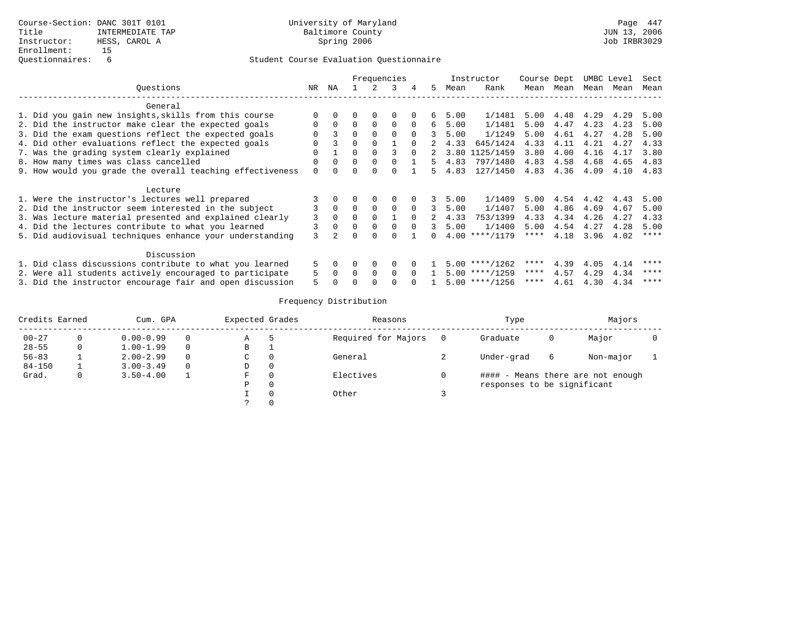|                                                           |          |                | Frequencies |              |              |          |               |      | Instructor       | Course Dept |           | UMBC Level |      | Sect        |
|-----------------------------------------------------------|----------|----------------|-------------|--------------|--------------|----------|---------------|------|------------------|-------------|-----------|------------|------|-------------|
| Ouestions                                                 | NR.      | ΝA             |             |              | 3            | 4        | 5.            | Mean | Rank             | Mean        | Mean      | Mean       | Mean | Mean        |
| General                                                   |          |                |             |              |              |          |               |      |                  |             |           |            |      |             |
| 1. Did you gain new insights, skills from this course     | $\Omega$ |                |             | <sup>0</sup> | <sup>0</sup> |          | 6             | 5.00 | 1/1481           | 5.00        | 4.48 4.29 |            | 4.29 | 5.00        |
| 2. Did the instructor make clear the expected goals       | $\Omega$ | $\Omega$       | $\Omega$    | $\Omega$     | $\Omega$     | $\Omega$ | 6             | 5.00 | 1/1481           | 5.00        | 4.47      | 4.23       | 4.23 | 5.00        |
| 3. Did the exam questions reflect the expected goals      | 0        | 3              | $\Omega$    | $\Omega$     | $\Omega$     | $\Omega$ |               | 5.00 | 1/1249           | 5.00        | 4.61      | 4.27       | 4.28 | 5.00        |
| 4. Did other evaluations reflect the expected goals       |          |                | $\Omega$    | $\Omega$     |              | $\Omega$ |               | 4.33 | 645/1424         | 4.33        | 4.11      | 4.21       | 4.27 | 4.33        |
| 7. Was the grading system clearly explained               |          |                | $\Omega$    |              |              | $\Omega$ | 2             | 3.80 | 1125/1459        | 3.80        | 4.00      | 4.16       | 4.17 | 3.80        |
| 8. How many times was class cancelled                     | O        | $\Omega$       | $\Omega$    | $\Omega$     | $\Omega$     |          | 5             | 4.83 | 797/1480         | 4.83        | 4.58      | 4.68       | 4.65 | 4.83        |
| 9. How would you grade the overall teaching effectiveness | $\Omega$ |                | 0           |              | 0            |          | Б.            | 4.83 | 127/1450         | 4.83        | 4.36      | 4.09       | 4.10 | 4.83        |
| Lecture                                                   |          |                |             |              |              |          |               |      |                  |             |           |            |      |             |
| 1. Were the instructor's lectures well prepared           |          |                |             |              |              |          |               | 5.00 | 1/1409           | 5.00        | 4.54      | 4.42       | 4.43 | 5.00        |
| 2. Did the instructor seem interested in the subject      |          | $\Omega$       | $\Omega$    | $\Omega$     | $\Omega$     | $\Omega$ |               | 5.00 | 1/1407           | 5.00        | 4.86      | 4.69       | 4.67 | 5.00        |
| 3. Was lecture material presented and explained clearly   | 3        | $\Omega$       | $\Omega$    | $\Omega$     |              | $\Omega$ |               | 4.33 | 753/1399         | 4.33        | 4.34      | 4.26       | 4.27 | 4.33        |
| 4. Did the lectures contribute to what you learned        | 3        | $\Omega$       | $\Omega$    | $\Omega$     | $\Omega$     | $\cap$   | $\mathcal{L}$ | 5.00 | 1/1400           | 5.00        | 4.54      | 4.27       | 4.28 | 5.00        |
| 5. Did audiovisual techniques enhance your understanding  | 3        | $\mathfrak{D}$ |             |              |              |          |               | 4.00 | $***/1179$       | ****        | 4.18      | 3.96       | 4.02 | $* * * * *$ |
| Discussion                                                |          |                |             |              |              |          |               |      |                  |             |           |            |      |             |
| 1. Did class discussions contribute to what you learned   | 5        |                | $\Omega$    | $\Omega$     | $\Omega$     |          |               |      | $5.00$ ****/1262 | ****        | 4.39      | 4.05       | 4.14 | ****        |
| 2. Were all students actively encouraged to participate   | 5        | $\Omega$       | $\Omega$    | $\Omega$     | $\Omega$     | $\Omega$ |               |      | $5.00$ ****/1259 | ****        | 4.57      | 4.29       | 4.34 | ****        |
| 3. Did the instructor encourage fair and open discussion  | 5        |                |             |              |              |          |               |      | $5.00$ ****/1256 | ****        | 4.61      | 4.30       | 4.34 | ****        |

| Credits Earned |              | Cum. GPA      |          | Expected Grades |          | Reasons             | Type                        |   | Majors                            |  |
|----------------|--------------|---------------|----------|-----------------|----------|---------------------|-----------------------------|---|-----------------------------------|--|
| $00 - 27$      |              | $0.00 - 0.99$ |          | Α               |          | Required for Majors | Graduate                    | 0 | Major                             |  |
| $28 - 55$      |              | $1.00 - 1.99$ |          | В               |          |                     |                             |   |                                   |  |
| $56 - 83$      |              | $2.00 - 2.99$ | $\Omega$ | C.              | $\Omega$ | General             | Under-grad                  | 6 | Non-major                         |  |
| $84 - 150$     |              | $3.00 - 3.49$ | $\Omega$ | D               | 0        |                     |                             |   |                                   |  |
| Grad.          | $\mathbf{0}$ | $3.50 - 4.00$ |          | F               | $\Omega$ | Electives           |                             |   | #### - Means there are not enough |  |
|                |              |               |          | Ρ               | 0        |                     | responses to be significant |   |                                   |  |
|                |              |               |          |                 | $\Omega$ | Other               |                             |   |                                   |  |
|                |              |               |          |                 | $\Omega$ |                     |                             |   |                                   |  |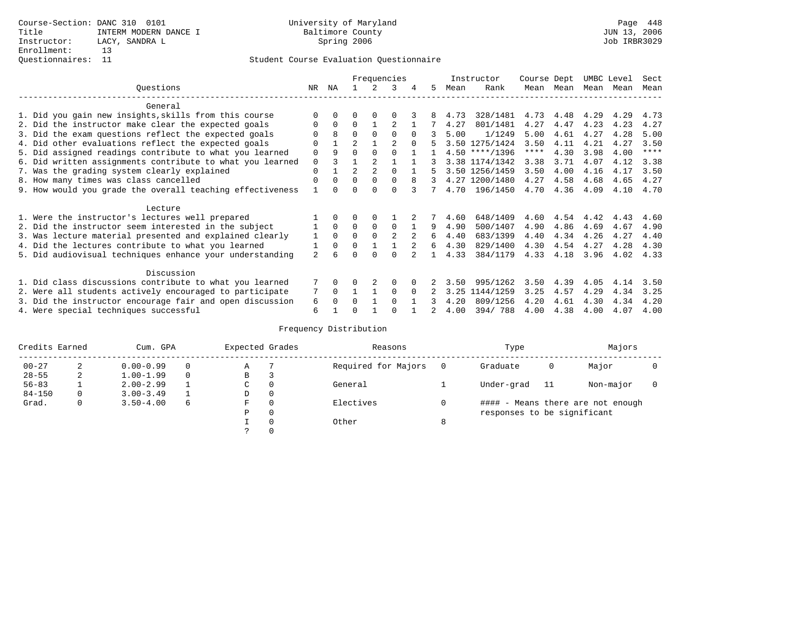|                                                           |                |          |                |                | Frequencies    |          |    |      | Instructor       | Course Dept |      | UMBC Level |      | Sect        |
|-----------------------------------------------------------|----------------|----------|----------------|----------------|----------------|----------|----|------|------------------|-------------|------|------------|------|-------------|
| Ouestions                                                 | NR.            | ΝA       |                |                | 3              | 4        | 5  | Mean | Rank             | Mean        | Mean | Mean       | Mean | Mean        |
| General                                                   |                |          |                |                |                |          |    |      |                  |             |      |            |      |             |
| 1. Did you gain new insights, skills from this course     |                | 0        | U              | $\Omega$       |                |          |    | 4.73 | 328/1481         | 4.73        | 4.48 | 4.29       | 4.29 | 4.73        |
| 2. Did the instructor make clear the expected goals       |                | $\Omega$ | $\Omega$       |                |                |          |    | 4.27 | 801/1481         | 4.27        | 4.47 | 4.23       | 4.23 | 4.27        |
| 3. Did the exam questions reflect the expected goals      |                | 8        | $\Omega$       | $\Omega$       | $\Omega$       | $\Omega$ |    | 5.00 | 1/1249           | 5.00        | 4.61 | 4.27       | 4.28 | 5.00        |
| 4. Did other evaluations reflect the expected goals       | 0              |          | $\overline{a}$ |                | 2              |          |    |      | 3.50 1275/1424   | 3.50        | 4.11 | 4.21       | 4.27 | 3.50        |
| 5. Did assigned readings contribute to what you learned   | 0              | 9        |                | $\Omega$       | 0              |          |    |      | $4.50$ ****/1396 | ****        | 4.30 | 3.98       | 4.00 | $***$ * * * |
| 6. Did written assignments contribute to what you learned | 0              |          |                |                |                |          |    |      | 3.38 1174/1342   | 3.38        | 3.71 | 4.07       | 4.12 | 3.38        |
| 7. Was the grading system clearly explained               | 0              |          |                | $\overline{2}$ |                |          |    |      | 3.50 1256/1459   | 3.50        | 4.00 | 4.16       | 4.17 | 3.50        |
| 8. How many times was class cancelled                     | 0              | $\Omega$ | $\Omega$       | $\Omega$       | $\Omega$       | 8        | 3  |      | 4.27 1200/1480   | 4.27        | 4.58 | 4.68       | 4.65 | 4.27        |
| 9. How would you grade the overall teaching effectiveness |                |          |                |                | U              |          |    | 4.70 | 196/1450         | 4.70        | 4.36 | 4.09       | 4.10 | 4.70        |
|                                                           |                |          |                |                |                |          |    |      |                  |             |      |            |      |             |
| Lecture                                                   |                |          |                |                |                |          |    |      |                  |             |      |            |      |             |
| 1. Were the instructor's lectures well prepared           |                |          |                |                |                |          |    | 4.60 | 648/1409         | 4.60        | 4.54 | 4.42       | 4.43 | 4.60        |
| 2. Did the instructor seem interested in the subject      |                | $\Omega$ | $\Omega$       | 0              | $\Omega$       |          | 9  | 4.90 | 500/1407         | 4.90        | 4.86 | 4.69       | 4.67 | 4.90        |
| 3. Was lecture material presented and explained clearly   |                | $\Omega$ | $\Omega$       | $\Omega$       | $\mathfrak{D}$ |          | 6  | 4.40 | 683/1399         | 4.40        | 4.34 | 4.26       | 4.27 | 4.40        |
| 4. Did the lectures contribute to what you learned        |                | $\Omega$ | $\Omega$       |                |                |          | б. | 4.30 | 829/1400         | 4.30        | 4.54 | 4.27       | 4.28 | 4.30        |
| 5. Did audiovisual techniques enhance your understanding  | $\mathfrak{D}$ | 6        |                |                |                |          |    | 4.33 | 384/1179         | 4.33        | 4.18 | 3.96       | 4.02 | 4.33        |
|                                                           |                |          |                |                |                |          |    |      |                  |             |      |            |      |             |
| Discussion                                                |                |          |                |                |                |          |    |      |                  |             |      |            |      |             |
| 1. Did class discussions contribute to what you learned   |                | 0        |                |                | $\Omega$       |          |    | 3.50 | 995/1262         | 3.50        | 4.39 | 4.05       | 4.14 | 3.50        |
| 2. Were all students actively encouraged to participate   |                | $\Omega$ |                |                | $\Omega$       |          |    | 3.25 | 1144/1259        | 3.25        | 4.57 | 4.29       | 4.34 | 3.25        |
| 3. Did the instructor encourage fair and open discussion  | 6              |          |                |                | 0              |          |    | 4.20 | 809/1256         | 4.20        | 4.61 | 4.30       | 4.34 | 4.20        |
| 4. Were special techniques successful                     | 6              |          |                |                |                |          |    | 4.00 | 394/788          | 4.00        | 4.38 | 4.00       | 4.07 | 4.00        |

| Credits Earned |          | Cum. GPA      |          | Expected Grades |              | Reasons             |   | Type                        |     | Majors                            |  |
|----------------|----------|---------------|----------|-----------------|--------------|---------------------|---|-----------------------------|-----|-----------------------------------|--|
| $00 - 27$      | 2        | $0.00 - 0.99$ | $\Omega$ | Α               |              | Required for Majors |   | Graduate                    | 0   | Major                             |  |
| $28 - 55$      | 2        | $1.00 - 1.99$ | $\Omega$ | В               | 3            |                     |   |                             |     |                                   |  |
| $56 - 83$      |          | $2.00 - 2.99$ |          | С               | 0            | General             |   | Under-grad                  | -11 | Non-major                         |  |
| $84 - 150$     | $\Omega$ | $3.00 - 3.49$ |          | D               | 0            |                     |   |                             |     |                                   |  |
| Grad.          | 0        | $3.50 - 4.00$ | 6        | F               | $\mathbf{0}$ | Electives           |   |                             |     | #### - Means there are not enough |  |
|                |          |               |          | Ρ               | $\mathbf{0}$ |                     |   | responses to be significant |     |                                   |  |
|                |          |               |          |                 | 0            | Other               | 8 |                             |     |                                   |  |
|                |          |               |          |                 | 0            |                     |   |                             |     |                                   |  |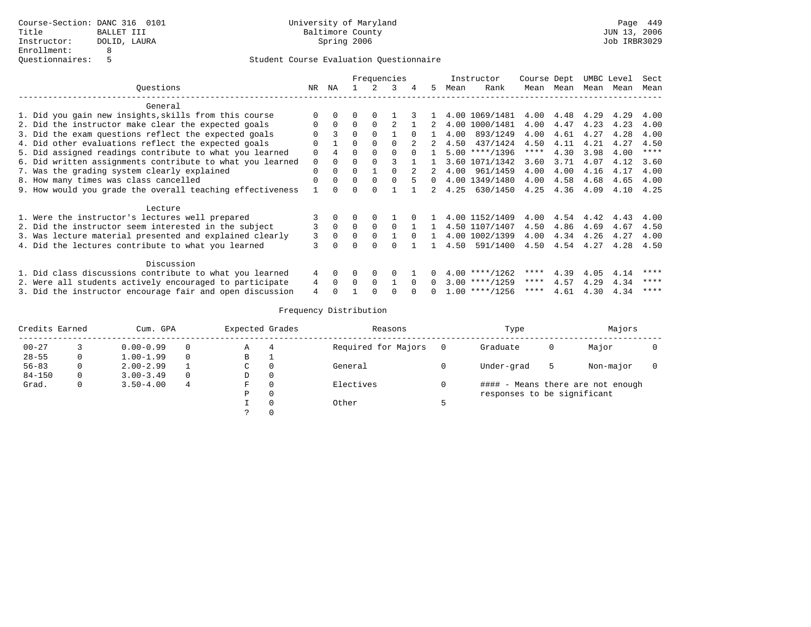|                                                           |             |          |          |          | Frequencies |          |          |      | Instructor       | Course Dept |           |      | UMBC Level | Sect        |
|-----------------------------------------------------------|-------------|----------|----------|----------|-------------|----------|----------|------|------------------|-------------|-----------|------|------------|-------------|
| Questions                                                 | NR          | ΝA       |          |          | 3           |          | 5.       | Mean | Rank             |             | Mean Mean | Mean | Mean       | Mean        |
| General                                                   |             |          |          |          |             |          |          |      |                  |             |           |      |            |             |
| 1. Did you gain new insights, skills from this course     | $\Omega$    |          | 0        | 0        |             |          |          |      | 4.00 1069/1481   | 4.00        | 4.48      | 4.29 | 4.29       | 4.00        |
| 2. Did the instructor make clear the expected goals       | $\Omega$    | $\Omega$ | $\Omega$ | $\Omega$ |             |          |          |      | 4.00 1000/1481   | 4.00        | 4.47      | 4.23 | 4.23       | 4.00        |
| 3. Did the exam questions reflect the expected goals      |             | 3        | $\Omega$ | $\cap$   |             |          |          | 4.00 | 893/1249         | 4.00        | 4.61      | 4.27 | 4.28       | 4.00        |
| 4. Did other evaluations reflect the expected goals       |             |          | $\Omega$ |          |             |          |          | 4.50 | 437/1424         | 4.50        | 4.11      | 4.21 | 4.27       | 4.50        |
| 5. Did assigned readings contribute to what you learned   | $\Omega$    |          |          |          |             | $\cap$   |          | 5.00 | $***/1396$       | ****        | 4.30      | 3.98 | 4.00       | $***$ * * * |
| 6. Did written assignments contribute to what you learned | $\mathbf 0$ | $\Omega$ | $\Omega$ |          |             |          |          |      | 3.60 1071/1342   | 3.60        | 3.71      | 4.07 | 4.12       | 3.60        |
| 7. Was the grading system clearly explained               | $\Omega$    | 0        | $\Omega$ |          |             |          |          | 4.00 | 961/1459         | 4.00        | 4.00      | 4.16 | 4.17       | 4.00        |
| 8. How many times was class cancelled                     | $\Omega$    | $\Omega$ | $\Omega$ | $\Omega$ | $\Omega$    | 5        | $\Omega$ |      | 4.00 1349/1480   | 4.00        | 4.58      | 4.68 | 4.65       | 4.00        |
| 9. How would you grade the overall teaching effectiveness |             |          | $\Omega$ |          |             |          |          | 4.25 | 630/1450         | 4.25        | 4.36      | 4.09 | 4.10       | 4.25        |
| Lecture                                                   |             |          |          |          |             |          |          |      |                  |             |           |      |            |             |
| 1. Were the instructor's lectures well prepared           |             |          | 0        | $\Omega$ |             | 0        |          |      | 4.00 1152/1409   | 4.00        | 4.54      | 4.42 | 4.43       | 4.00        |
| 2. Did the instructor seem interested in the subject      |             | $\Omega$ | $\Omega$ | $\Omega$ | $\Omega$    |          |          |      | 4.50 1107/1407   | 4.50        | 4.86      | 4.69 | 4.67       | 4.50        |
| 3. Was lecture material presented and explained clearly   | 3           | $\Omega$ | $\Omega$ |          |             |          |          |      | 4.00 1002/1399   | 4.00        | 4.34      | 4.26 | 4.27       | 4.00        |
| 4. Did the lectures contribute to what you learned        | 3           |          | U        |          |             |          |          | 4.50 | 591/1400         | 4.50        | 4.54      | 4.27 | 4.28       | 4.50        |
| Discussion                                                |             |          |          |          |             |          |          |      |                  |             |           |      |            |             |
| 1. Did class discussions contribute to what you learned   | 4           | $\Omega$ | O        | $\Omega$ | $\Omega$    |          |          |      | $4.00$ ****/1262 | ****        | 4.39      | 4.05 | 4.14       | ****        |
| 2. Were all students actively encouraged to participate   | 4           | $\Omega$ | $\Omega$ | $\Omega$ |             | $\Omega$ | n.       |      | $3.00$ ****/1259 | $***$ * * * | 4.57      | 4.29 | 4.34       | ****        |
| 3. Did the instructor encourage fair and open discussion  | 4           |          |          |          |             |          | n.       |      | $1.00$ ****/1256 | ****        | 4.61      | 4.30 | 4.34       | ****        |

| Credits Earned |   | Cum. GPA      |   | Expected Grades |          | Reasons             |          | Type                        |   | Majors                            |  |
|----------------|---|---------------|---|-----------------|----------|---------------------|----------|-----------------------------|---|-----------------------------------|--|
| $00 - 27$      |   | $0.00 - 0.99$ |   | Α               |          | Required for Majors | $\Omega$ | Graduate                    | 0 | Major                             |  |
| $28 - 55$      |   | $1.00 - 1.99$ |   | В               |          |                     |          |                             |   |                                   |  |
| $56 - 83$      |   | $2.00 - 2.99$ |   | C               | 0        | General             |          | Under-grad                  | 5 | Non-major                         |  |
| $84 - 150$     | 0 | $3.00 - 3.49$ |   | D               | 0        |                     |          |                             |   |                                   |  |
| Grad.          | 0 | $3.50 - 4.00$ | 4 | F               | $\Omega$ | Electives           |          |                             |   | #### - Means there are not enough |  |
|                |   |               |   | Ρ               | 0        |                     |          | responses to be significant |   |                                   |  |
|                |   |               |   |                 | $\Omega$ | Other               |          |                             |   |                                   |  |
|                |   |               |   |                 |          |                     |          |                             |   |                                   |  |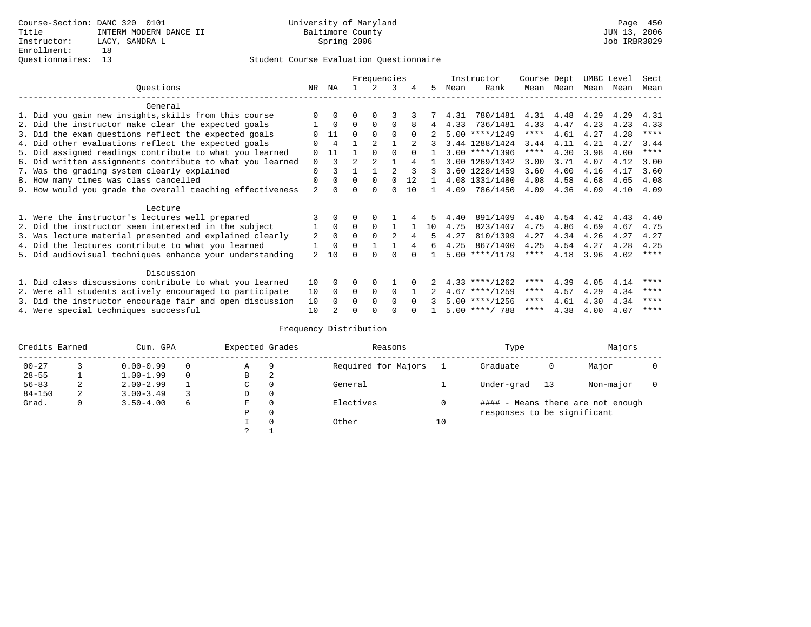|                                                           |                |                |                | Frequencies    |                |          |    |      | Instructor       | Course Dept |           | UMBC Level |      | Sect        |
|-----------------------------------------------------------|----------------|----------------|----------------|----------------|----------------|----------|----|------|------------------|-------------|-----------|------------|------|-------------|
| Ouestions                                                 | NR             | ΝA             |                | 2.             | 3              | 4        | 5. | Mean | Rank             |             | Mean Mean | Mean Mean  |      | Mean        |
| General                                                   |                |                |                |                |                |          |    |      |                  |             |           |            |      |             |
| 1. Did you gain new insights, skills from this course     |                | $\Omega$       | $\Omega$       | $\Omega$       |                |          |    | 4.31 | 780/1481         | 4.31        | 4.48      | 4.29       | 4.29 | 4.31        |
| 2. Did the instructor make clear the expected goals       |                | $\Omega$       | $\Omega$       | $\Omega$       | $\Omega$       |          | 4  | 4.33 | 736/1481         | 4.33        | 4.47      | 4.23       | 4.23 | 4.33        |
| 3. Did the exam questions reflect the expected goals      |                | 11             | $\Omega$       | $\Omega$       | $\Omega$       | $\Omega$ |    |      | $5.00$ ****/1249 | ****        | 4.61      | 4.27       | 4.28 | $***$ * * * |
| 4. Did other evaluations reflect the expected goals       |                | 4              |                | $\mathfrak{D}$ |                |          |    |      | 3.44 1288/1424   | 3.44        | 4.11      | 4.21       | 4.27 | 3.44        |
| 5. Did assigned readings contribute to what you learned   | $\Omega$       | 11             |                | $\Omega$       | <sup>0</sup>   |          |    |      | $3.00$ ****/1396 | ****        | 4.30      | 3.98       | 4.00 | $***$ * * * |
| 6. Did written assignments contribute to what you learned | $\Omega$       | 3              | $\mathfrak{D}$ | $\mathfrak{D}$ |                | 4        |    |      | 3.00 1269/1342   | 3.00        | 3.71      | 4.07       | 4.12 | 3.00        |
| 7. Was the grading system clearly explained               | $\Omega$       |                |                |                |                |          |    |      | 3.60 1228/1459   | 3.60        | 4.00      | 4.16       | 4.17 | 3.60        |
| 8. How many times was class cancelled                     | 0              | $\Omega$       | $\Omega$       | $\Omega$       | <sup>0</sup>   | 12.      |    |      | 4.08 1331/1480   | 4.08        | 4.58      | 4.68       | 4.65 | 4.08        |
| 9. How would you grade the overall teaching effectiveness | $\overline{a}$ | $\cap$         | U              | $\Omega$       | O              | 10       |    | 4.09 | 786/1450         | 4.09        | 4.36      | 4.09       | 4.10 | 4.09        |
| Lecture                                                   |                |                |                |                |                |          |    |      |                  |             |           |            |      |             |
| 1. Were the instructor's lectures well prepared           |                |                |                |                |                |          |    | 4.40 | 891/1409         | 4.40        | 4.54      | 4.42       | 4.43 | 4.40        |
| 2. Did the instructor seem interested in the subject      |                | $\Omega$       | $\Omega$       | $\Omega$       |                |          | 10 | 4.75 | 823/1407         | 4.75        | 4.86      | 4.69       | 4.67 | 4.75        |
| 3. Was lecture material presented and explained clearly   | 2              | $\Omega$       | $\Omega$       | $\Omega$       | $\mathfrak{D}$ | 4        | 5  | 4.27 | 810/1399         | 4.27        | 4.34      | 4.26       | 4.27 | 4.27        |
| 4. Did the lectures contribute to what you learned        |                | $\mathbf 0$    | 0              |                |                | 4        | 6  | 4.25 | 867/1400         | 4.25        | 4.54      | 4.27       | 4.28 | 4.25        |
| 5. Did audiovisual techniques enhance your understanding  | $\overline{a}$ | 10             |                |                |                |          |    |      | $5.00$ ****/1179 | ****        | 4.18      | 3.96       | 4.02 | $***$ * * * |
| Discussion                                                |                |                |                |                |                |          |    |      |                  |             |           |            |      |             |
|                                                           |                |                |                |                |                |          |    |      |                  | ****        |           |            |      | ****        |
| 1. Did class discussions contribute to what you learned   | 10             | $\Omega$       | 0              | $\Omega$       |                |          |    |      | $4.33$ ****/1262 | $***$ * *   | 4.39      | 4.05       | 4.14 | ****        |
| 2. Were all students actively encouraged to participate   | 10             | $\Omega$       | 0              | $\mathbf 0$    | $\Omega$       |          |    |      | $4.67$ ****/1259 | ****        | 4.57      | 4.29       | 4.34 | ****        |
| 3. Did the instructor encourage fair and open discussion  | 10             | $\Omega$       | 0              | $\Omega$       | <sup>0</sup>   |          |    |      | $5.00$ ****/1256 | ****        | 4.61      | 4.30       | 4.34 | ****        |
| 4. Were special techniques successful                     | 10             | $\mathfrak{D}$ | U              |                |                |          |    |      | $5.00$ ****/ 788 |             | 4.38      | 4.00       | 4.07 |             |

| Credits Earned |   | Cum. GPA      |   | Expected Grades |          | Reasons             |    | Type                        |    | Majors                            |  |
|----------------|---|---------------|---|-----------------|----------|---------------------|----|-----------------------------|----|-----------------------------------|--|
| $00 - 27$      |   | $0.00 - 0.99$ |   | Α               | 9        | Required for Majors |    | Graduate                    | 0  | Major                             |  |
| $28 - 55$      |   | $1.00 - 1.99$ |   | B               | 2        |                     |    |                             |    |                                   |  |
| $56 - 83$      | 2 | $2.00 - 2.99$ |   | C               | 0        | General             |    | Under-grad                  | 13 | Non-major                         |  |
| $84 - 150$     | 2 | $3.00 - 3.49$ |   | D               | 0        |                     |    |                             |    |                                   |  |
| Grad.          | 0 | $3.50 - 4.00$ | 6 | F               | 0        | Electives           |    |                             |    | #### - Means there are not enough |  |
|                |   |               |   | Ρ               | 0        |                     |    | responses to be significant |    |                                   |  |
|                |   |               |   |                 | $\Omega$ | Other               | 10 |                             |    |                                   |  |
|                |   |               |   | っ               |          |                     |    |                             |    |                                   |  |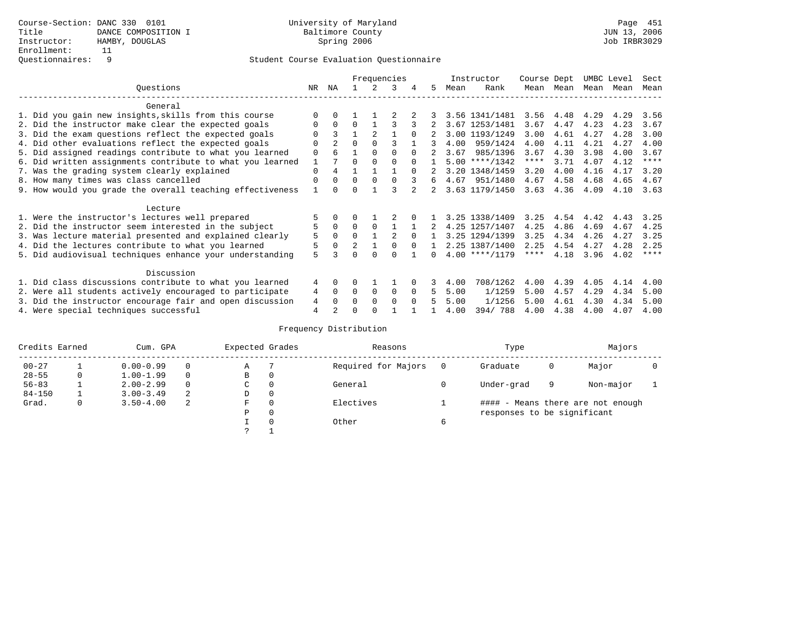|                                                           |             |                |                |          | Frequencies   |          |    |      | Instructor       | Course Dept |      | UMBC Level |      | Sect        |
|-----------------------------------------------------------|-------------|----------------|----------------|----------|---------------|----------|----|------|------------------|-------------|------|------------|------|-------------|
| Ouestions                                                 | NR.         | ΝA             |                |          | 3             |          | 5. | Mean | Rank             | Mean        | Mean | Mean       | Mean | Mean        |
| General                                                   |             |                |                |          |               |          |    |      |                  |             |      |            |      |             |
| 1. Did you gain new insights, skills from this course     |             | $\Omega$       |                |          |               |          |    |      | 3.56 1341/1481   | 3.56        | 4.48 | 4.29       | 4.29 | 3.56        |
| 2. Did the instructor make clear the expected goals       | O           | $\Omega$       | $\Omega$       |          |               |          |    |      | 3.67 1253/1481   | 3.67        | 4.47 | 4.23       | 4.23 | 3.67        |
| 3. Did the exam questions reflect the expected goals      |             | 3              |                | 2        |               | $\Omega$ |    |      | 3.00 1193/1249   | 3.00        | 4.61 | 4.27       | 4.28 | 3.00        |
| 4. Did other evaluations reflect the expected goals       | O           | $\mathfrak{D}$ | $\Omega$       | $\Omega$ |               |          | 3  | 4.00 | 959/1424         | 4.00        | 4.11 | 4.21       | 4.27 | 4.00        |
| 5. Did assigned readings contribute to what you learned   | $\mathbf 0$ | 6              |                | $\Omega$ | $\Omega$      | $\Omega$ |    | 3.67 | 985/1396         | 3.67        | 4.30 | 3.98       | 4.00 | 3.67        |
| 6. Did written assignments contribute to what you learned | 1           |                | $\Omega$       |          |               | $\cap$   |    |      | $5.00$ ****/1342 | $***$ * *   | 3.71 | 4.07       | 4.12 | $* * * * *$ |
| 7. Was the grading system clearly explained               | $\Omega$    | 4              |                |          |               | $\Omega$ |    |      | 3.20 1348/1459   | 3.20        | 4.00 | 4.16       | 4.17 | 3.20        |
| 8. How many times was class cancelled                     | $\Omega$    | $\Omega$       | $\Omega$       | $\Omega$ | $\cap$        | २        | 6  |      | 4.67 951/1480    | 4.67        | 4.58 | 4.68       | 4.65 | 4.67        |
| 9. How would you grade the overall teaching effectiveness |             | $\cap$         | ∩              |          |               |          |    |      | 3.63 1179/1450   | 3.63        | 4.36 | 4.09       | 4.10 | 3.63        |
| Lecture                                                   |             |                |                |          |               |          |    |      |                  |             |      |            |      |             |
| 1. Were the instructor's lectures well prepared           |             |                |                |          |               |          |    |      | 3.25 1338/1409   | 3.25        | 4.54 | 4.42       | 4.43 | 3.25        |
| 2. Did the instructor seem interested in the subject      |             | $\Omega$       | $\Omega$       | $\Omega$ |               |          |    |      | 4.25 1257/1407   | 4.25        | 4.86 | 4.69       | 4.67 | 4.25        |
| 3. Was lecture material presented and explained clearly   | 5           | $\Omega$       | $\Omega$       |          | $\mathcal{D}$ | $\cap$   |    |      | 3.25 1294/1399   | 3.25        | 4.34 | 4.26       | 4.27 | 3.25        |
| 4. Did the lectures contribute to what you learned        |             | $\Omega$       | $\mathfrak{D}$ |          |               | $\cap$   |    |      | 2.25 1387/1400   | 2.25        | 4.54 | 4.27       | 4.28 | 2.25        |
| 5. Did audiovisual techniques enhance your understanding  | 5           |                |                |          |               |          |    |      | $4.00$ ****/1179 | $***$ * * * | 4.18 | 3.96       | 4.02 | $* * * * *$ |
| Discussion                                                |             |                |                |          |               |          |    |      |                  |             |      |            |      |             |
| 1. Did class discussions contribute to what you learned   | 4           | $\Omega$       | U              |          |               |          |    | 4.00 | 708/1262         | 4.00        | 4.39 | 4.05       | 4.14 | 4.00        |
| 2. Were all students actively encouraged to participate   | 4           | $\Omega$       | $\Omega$       | $\Omega$ | 0             | $\Omega$ | 5. | 5.00 | 1/1259           | 5.00        | 4.57 | 4.29       | 4.34 | 5.00        |
| 3. Did the instructor encourage fair and open discussion  | 4           | $\Omega$       | 0              | $\Omega$ | $\Omega$      | $\Omega$ |    | 5.00 | 1/1256           | 5.00        | 4.61 | 4.30       | 4.34 | 5.00        |
| 4. Were special techniques successful                     | 4           |                |                |          |               |          |    | 4.00 | 394/788          | 4.00        | 4.38 | 4.00       | 4.07 | 4.00        |

| Credits Earned |   | Cum. GPA      |   | Expected Grades |          | Reasons             | Type                        |   | Majors                            |  |
|----------------|---|---------------|---|-----------------|----------|---------------------|-----------------------------|---|-----------------------------------|--|
| $00 - 27$      |   | $0.00 - 0.99$ |   | Α               |          | Required for Majors | Graduate                    | 0 | Major                             |  |
| $28 - 55$      | 0 | $1.00 - 1.99$ |   | B               | 0        |                     |                             |   |                                   |  |
| $56 - 83$      |   | $2.00 - 2.99$ |   | C               | 0        | General             | Under-grad                  | 9 | Non-major                         |  |
| $84 - 150$     |   | $3.00 - 3.49$ | 2 | D               | 0        |                     |                             |   |                                   |  |
| Grad.          | 0 | $3.50 - 4.00$ | 2 | F               | 0        | Electives           |                             |   | #### - Means there are not enough |  |
|                |   |               |   | Ρ               | 0        |                     | responses to be significant |   |                                   |  |
|                |   |               |   |                 | $\Omega$ | Other               |                             |   |                                   |  |
|                |   |               |   | っ               |          |                     |                             |   |                                   |  |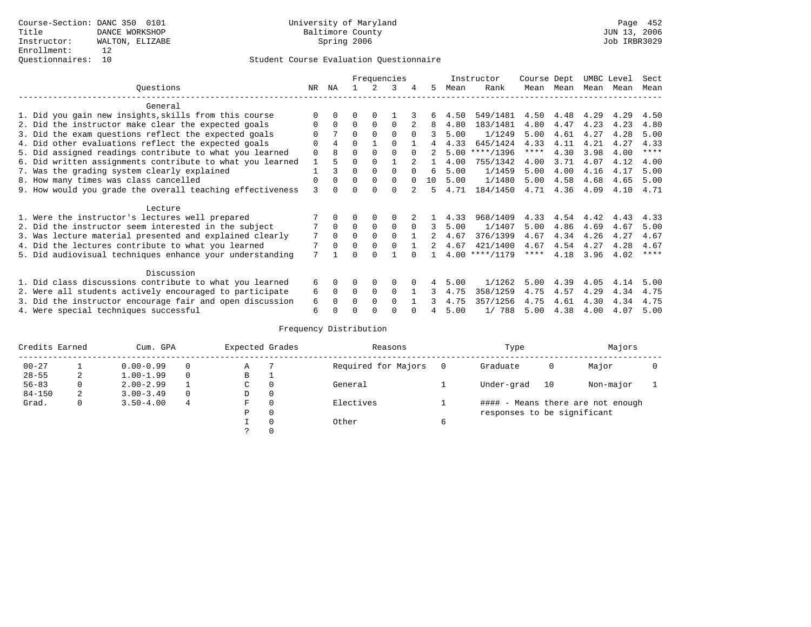## Questionnaires: 10 Student Course Evaluation Questionnaire

|                                                           |             |             |          |             | Frequencies |          |    |      | Instructor       | Course Dept |      | UMBC Level |      | Sect        |
|-----------------------------------------------------------|-------------|-------------|----------|-------------|-------------|----------|----|------|------------------|-------------|------|------------|------|-------------|
| Questions                                                 | NR          | ΝA          |          |             |             | 4        | 5  | Mean | Rank             | Mean        | Mean | Mean       | Mean | Mean        |
| General                                                   |             |             |          |             |             |          |    |      |                  |             |      |            |      |             |
| 1. Did you gain new insights, skills from this course     |             |             | 0        |             |             |          |    | 4.50 | 549/1481         | 4.50        | 4.48 | 4.29       | 4.29 | 4.50        |
| 2. Did the instructor make clear the expected goals       |             | $\Omega$    | $\Omega$ | $\Omega$    | $\Omega$    |          | 8  | 4.80 | 183/1481         | 4.80        | 4.47 | 4.23       | 4.23 | 4.80        |
| 3. Did the exam questions reflect the expected goals      |             |             | 0        | $\Omega$    | $\Omega$    | $\Omega$ | 3  | 5.00 | 1/1249           | 5.00        | 4.61 | 4.27       | 4.28 | 5.00        |
| 4. Did other evaluations reflect the expected goals       | $\Omega$    | 4           | $\Omega$ |             | $\Omega$    |          | 4  | 4.33 | 645/1424         | 4.33        | 4.11 | 4.21       | 4.27 | 4.33        |
| 5. Did assigned readings contribute to what you learned   | $\mathbf 0$ | R           | $\Omega$ |             |             | $\cap$   |    | 5.00 | $***/1396$       | $***$ * * * | 4.30 | 3.98       | 4.00 | $***$ * * * |
| 6. Did written assignments contribute to what you learned |             |             | 0        |             |             |          |    | 4.00 | 755/1342         | 4.00        | 3.71 | 4.07       | 4.12 | 4.00        |
| 7. Was the grading system clearly explained               |             |             | $\Omega$ | $\Omega$    |             |          | б. | 5.00 | 1/1459           | 5.00        | 4.00 | 4.16       | 4.17 | 5.00        |
| 8. How many times was class cancelled                     | $\Omega$    | $\Omega$    | $\Omega$ | $\Omega$    | $\Omega$    | $\cap$   | 10 | 5.00 | 1/1480           | 5.00        | 4.58 | 4.68       | 4.65 | 5.00        |
| 9. How would you grade the overall teaching effectiveness | 3           | n.          |          |             | U           |          | 5  | 4.71 | 184/1450         | 4.71        | 4.36 | 4.09       | 4.10 | 4.71        |
| Lecture                                                   |             |             |          |             |             |          |    |      |                  |             |      |            |      |             |
| 1. Were the instructor's lectures well prepared           |             |             |          |             |             |          |    | 4.33 | 968/1409         | 4.33        | 4.54 | 4.42       | 4.43 | 4.33        |
| 2. Did the instructor seem interested in the subject      |             | $\mathbf 0$ | $\Omega$ | $\mathbf 0$ | 0           | $\Omega$ | 3  | 5.00 | 1/1407           | 5.00        | 4.86 | 4.69       | 4.67 | 5.00        |
| 3. Was lecture material presented and explained clearly   | 7           | $\Omega$    | 0        |             | $\Omega$    |          |    | 4.67 | 376/1399         | 4.67        | 4.34 | 4.26       | 4.27 | 4.67        |
| 4. Did the lectures contribute to what you learned        |             | $\Omega$    | $\Omega$ | $\Omega$    | $\Omega$    |          |    | 4.67 | 421/1400         | 4.67        | 4.54 | 4.27       | 4.28 | 4.67        |
| 5. Did audiovisual techniques enhance your understanding  | 7           |             |          |             |             |          |    |      | $4.00$ ****/1179 | $***$ * *   | 4.18 | 3.96       | 4.02 | $* * * * *$ |
| Discussion                                                |             |             |          |             |             |          |    |      |                  |             |      |            |      |             |
| 1. Did class discussions contribute to what you learned   | 6           | 0           | 0        | $\Omega$    | $\Omega$    |          |    | 5.00 | 1/1262           | 5.00        | 4.39 | 4.05       | 4.14 | 5.00        |
| 2. Were all students actively encouraged to participate   | 6           | $\Omega$    | $\Omega$ | $\Omega$    | $\Omega$    |          | 3  | 4.75 | 358/1259         | 4.75        | 4.57 | 4.29       | 4.34 | 4.75        |
| 3. Did the instructor encourage fair and open discussion  | 6           |             | O        | $\Omega$    | $\Omega$    |          |    | 4.75 | 357/1256         | 4.75        | 4.61 | 4.30       | 4.34 | 4.75        |
| 4. Were special techniques successful                     | 6           |             |          |             |             |          |    | 5.00 | 1/788            | 5.00        | 4.38 | 4.00       | 4.07 | 5.00        |

| Credits Earned |   | Cum. GPA      |          | Expected Grades |          | Reasons             |          | Type                        |    | Majors                            |  |
|----------------|---|---------------|----------|-----------------|----------|---------------------|----------|-----------------------------|----|-----------------------------------|--|
| $00 - 27$      |   | $0.00 - 0.99$ |          | Α               |          | Required for Majors | $\Omega$ | Graduate                    | 0  | Major                             |  |
| $28 - 55$      | 2 | $1.00 - 1.99$ |          | В               | ÷        |                     |          |                             |    |                                   |  |
| $56 - 83$      | 0 | $2.00 - 2.99$ |          | $\sim$<br>◡     | 0        | General             |          | Under-grad                  | 10 | Non-major                         |  |
| $84 - 150$     | 2 | $3.00 - 3.49$ | $\Omega$ | D               | 0        |                     |          |                             |    |                                   |  |
| Grad.          | 0 | $3.50 - 4.00$ | 4        | F               | 0        | Electives           |          |                             |    | #### - Means there are not enough |  |
|                |   |               |          | Ρ               | 0        |                     |          | responses to be significant |    |                                   |  |
|                |   |               |          |                 | $\Omega$ | Other               | 6        |                             |    |                                   |  |
|                |   |               |          |                 |          |                     |          |                             |    |                                   |  |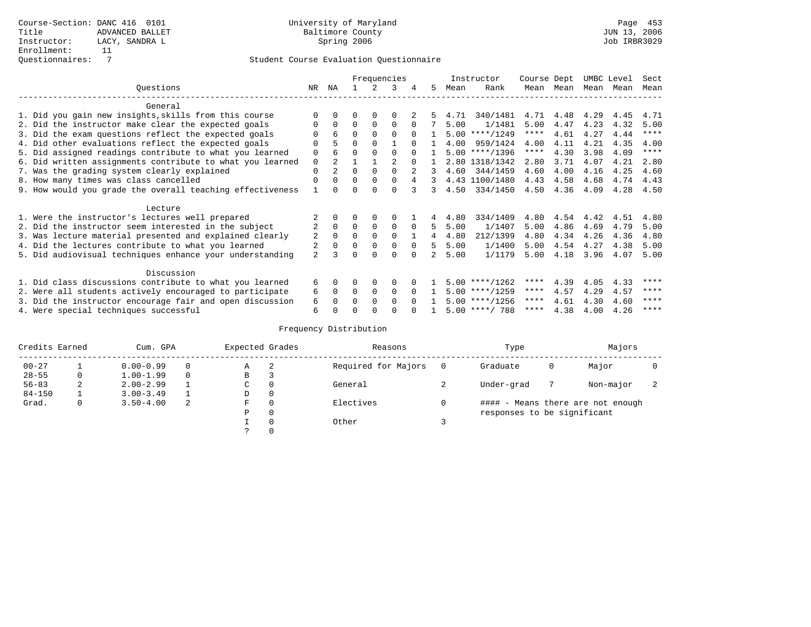|                                                           | Frequencies |                |          |             |                |              | Instructor | Course Dept |                  | UMBC Level  |      | Sect |      |             |
|-----------------------------------------------------------|-------------|----------------|----------|-------------|----------------|--------------|------------|-------------|------------------|-------------|------|------|------|-------------|
| Ouestions                                                 | NR          | ΝA             |          |             | 3              |              | 5.         | Mean        | Rank             | Mean        | Mean | Mean | Mean | Mean        |
| General                                                   |             |                |          |             |                |              |            |             |                  |             |      |      |      |             |
|                                                           |             |                |          |             |                |              |            |             |                  |             |      |      |      |             |
| 1. Did you gain new insights, skills from this course     | ∩           |                | O        | $\Omega$    | $\Omega$       |              |            | 4.71        | 340/1481         | 4.71        | 4.48 | 4.29 | 4.45 | 4.71        |
| 2. Did the instructor make clear the expected goals       | $\Omega$    | $\Omega$       | $\Omega$ | $\Omega$    | $\Omega$       | $\Omega$     |            | 5.00        | 1/1481           | 5.00        | 4.47 | 4.23 | 4.32 | 5.00        |
| 3. Did the exam questions reflect the expected goals      |             | 6              | $\Omega$ | $\Omega$    | $\Omega$       | $\Omega$     |            | 5.00        | $***/1249$       | ****        | 4.61 | 4.27 | 4.44 | $***$ * * * |
| 4. Did other evaluations reflect the expected goals       |             |                | $\Omega$ | $\Omega$    |                |              |            | 4.00        | 959/1424         | 4.00        | 4.11 | 4.21 | 4.35 | 4.00        |
| 5. Did assigned readings contribute to what you learned   | $\Omega$    |                | $\Omega$ |             | $\Omega$       | $\Omega$     |            |             | $5.00$ ****/1396 | $***$ * * * | 4.30 | 3.98 | 4.09 | $***$ * * * |
| 6. Did written assignments contribute to what you learned | $\mathbf 0$ | $\mathcal{L}$  |          |             | $\mathfrak{D}$ | $\cap$       |            |             | 2.80 1318/1342   | 2.80        | 3.71 | 4.07 | 4.21 | 2.80        |
| 7. Was the grading system clearly explained               | $\Omega$    | $\overline{a}$ | $\Omega$ | $\Omega$    |                |              |            | 4.60        | 344/1459         | 4.60        | 4.00 | 4.16 | 4.25 | 4.60        |
| 8. How many times was class cancelled                     | $\Omega$    | $\Omega$       | $\Omega$ | $\Omega$    | $\Omega$       | 4            | 3          |             | 4.43 1100/1480   | 4.43        | 4.58 | 4.68 | 4.74 | 4.43        |
| 9. How would you grade the overall teaching effectiveness |             |                | U        | ∩           | $\cap$         | २            | 3          | 4.50        | 334/1450         | 4.50        | 4.36 | 4.09 | 4.28 | 4.50        |
|                                                           |             |                |          |             |                |              |            |             |                  |             |      |      |      |             |
| Lecture                                                   |             |                |          |             |                |              |            |             |                  |             |      |      |      |             |
| 1. Were the instructor's lectures well prepared           |             |                |          |             | $\Omega$       |              |            | 4.80        | 334/1409         | 4.80        | 4.54 | 4.42 | 4.51 | 4.80        |
| 2. Did the instructor seem interested in the subject      |             | $\Omega$       | $\Omega$ | $\mathbf 0$ | $\mathbf 0$    | $\Omega$     | 5.         | 5.00        | 1/1407           | 5.00        | 4.86 | 4.69 | 4.79 | 5.00        |
| 3. Was lecture material presented and explained clearly   | 2           | $\Omega$       | $\Omega$ | $\Omega$    | $\Omega$       |              | 4          | 4.80        | 212/1399         | 4.80        | 4.34 | 4.26 | 4.36 | 4.80        |
| 4. Did the lectures contribute to what you learned        |             |                | $\Omega$ | 0           | $\mathbf 0$    | $\Omega$     | 5.         | 5.00        | 1/1400           | 5.00        | 4.54 | 4.27 | 4.38 | 5.00        |
| 5. Did audiovisual techniques enhance your understanding  | 2           |                | U        |             | $\Omega$       |              |            | 5.00        | 1/1179           | 5.00        | 4.18 | 3.96 | 4.07 | 5.00        |
|                                                           |             |                |          |             |                |              |            |             |                  |             |      |      |      |             |
| Discussion                                                |             |                |          |             |                |              |            |             |                  |             |      |      |      |             |
| 1. Did class discussions contribute to what you learned   | 6           | 0              | O        | $\Omega$    | $\Omega$       |              |            |             | $5.00$ ****/1262 | ****        | 4.39 | 4.05 | 4.33 | ****        |
| 2. Were all students actively encouraged to participate   | 6           | 0              | $\Omega$ | 0           | $\Omega$       |              |            |             | $5.00$ ****/1259 | $***$ * * * | 4.57 | 4.29 | 4.57 | ****        |
| 3. Did the instructor encourage fair and open discussion  | 6           |                | O        | $\Omega$    | $\Omega$       | <sup>n</sup> |            |             | $5.00$ ****/1256 | ****        | 4.61 | 4.30 | 4.60 | ****        |
| 4. Were special techniques successful                     | 6           |                |          |             |                |              |            |             | $5.00$ ****/ 788 | ****        | 4.38 | 4.00 | 4.26 | ****        |

| Credits Earned |   | Cum. GPA      |          |                                | Expected Grades | Reasons   | Type                              | Majors |           |  |  |  |
|----------------|---|---------------|----------|--------------------------------|-----------------|-----------|-----------------------------------|--------|-----------|--|--|--|
| $00 - 27$      |   | $0.00 - 0.99$ |          | Required for Majors<br>-2<br>Α |                 | Graduate  | 0                                 | Major  |           |  |  |  |
| $28 - 55$      | 0 | $1.00 - 1.99$ | $\Omega$ | В                              | 3               |           |                                   |        |           |  |  |  |
| $56 - 83$      | 2 | $2.00 - 2.99$ |          | C.                             | $\Omega$        | General   | Under-grad                        |        | Non-major |  |  |  |
| $84 - 150$     |   | $3.00 - 3.49$ |          | D                              | 0               |           |                                   |        |           |  |  |  |
| Grad.          | 0 | $3.50 - 4.00$ | -2       | F                              | $\Omega$        | Electives | #### - Means there are not enough |        |           |  |  |  |
|                |   |               |          | Ρ                              | 0               |           | responses to be significant       |        |           |  |  |  |
|                |   |               |          |                                | $\Omega$        | Other     |                                   |        |           |  |  |  |
|                |   |               |          |                                |                 |           |                                   |        |           |  |  |  |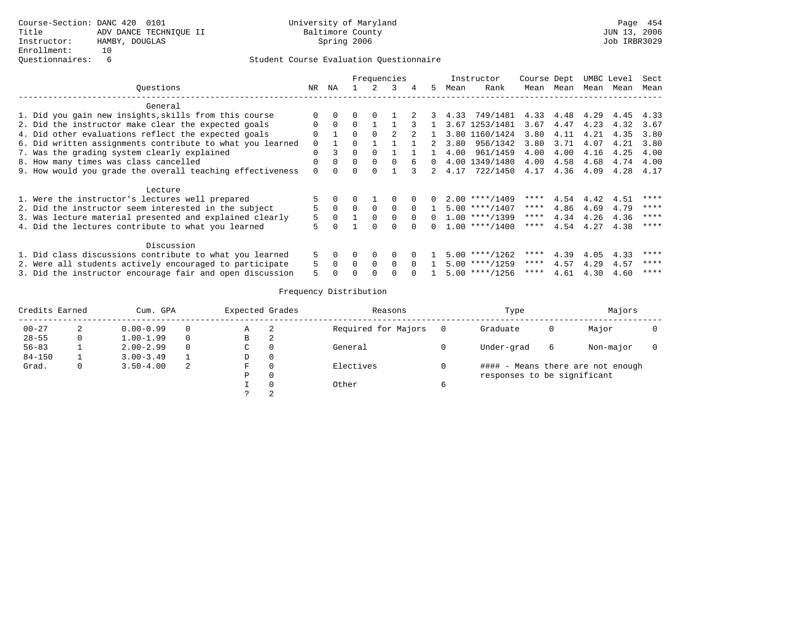|         |                                                           |          |          | Frequencies |          |          |          |             |         | Instructor                     | Course Dept |           | UMBC Level |      | Sect |
|---------|-----------------------------------------------------------|----------|----------|-------------|----------|----------|----------|-------------|---------|--------------------------------|-------------|-----------|------------|------|------|
|         | Ouestions                                                 | NR       | NA       |             | 2        | 3        | 4        | 5           | Mean    | Rank                           |             | Mean Mean | Mean Mean  |      | Mean |
|         | General                                                   |          |          |             |          |          |          |             |         |                                |             |           |            |      |      |
|         | 1. Did you gain new insights, skills from this course     |          |          |             | $\Omega$ |          | 2        |             |         | 3 4.33 749/1481 4.33 4.48 4.29 |             |           |            | 4.45 | 4.33 |
|         | 2. Did the instructor make clear the expected goals       | 0        | $\Omega$ | $\Omega$    |          |          | 3        |             |         | 3.67 1253/1481                 | 3.67        | 4.47      | 4.23       | 4.32 | 3.67 |
|         | 4. Did other evaluations reflect the expected goals       | $\Omega$ |          | $\Omega$    | $\Omega$ |          |          |             |         | 3.80 1160/1424                 | 3.80        | 4.11      | 4.21       | 4.35 | 3.80 |
|         | 6. Did written assignments contribute to what you learned | 0        |          |             |          |          |          | $2^{\circ}$ | 3.80    | 956/1342                       | 3.80        | 3.71      | 4.07       | 4.21 | 3.80 |
|         | 7. Was the grading system clearly explained               | $\Omega$ | 3        | $\cap$      | $\Omega$ |          |          |             | 4.00    | 961/1459                       | 4.00        | 4.00      | 4.16       | 4.25 | 4.00 |
|         | 8. How many times was class cancelled                     |          |          |             | $\Omega$ | $\cap$   | 6        | $\Omega$    |         | 4.00 1349/1480                 | 4.00        | 4.58      | 4.68       | 4.74 | 4.00 |
|         | 9. How would you grade the overall teaching effectiveness |          |          |             |          |          |          |             | 2, 4.17 | 722/1450                       | 4.17        | 4.36      | 4.09       | 4.28 | 4.17 |
| Lecture |                                                           |          |          |             |          |          |          |             |         |                                |             |           |            |      |      |
|         | 1. Were the instructor's lectures well prepared           |          |          |             |          |          |          | 0           |         | $2.00$ ****/1409               | ****        | 4.54      | 4.42       | 4.51 | **** |
|         | 2. Did the instructor seem interested in the subject      |          | $\Omega$ | $\cap$      | $\cap$   | $\cap$   | $\Omega$ |             |         | $5.00$ ****/1407               | ****        | 4.86      | 4.69       | 4.79 | **** |
|         | 3. Was lecture material presented and explained clearly   | 5        | $\Omega$ |             |          |          |          |             |         | $1.00$ ****/1399               | ****        | 4.34      | 4.26       | 4.36 | **** |
|         | 4. Did the lectures contribute to what you learned        | 5        | $\Omega$ |             | $\Omega$ |          |          | $\cap$      |         | $1.00$ ****/1400               | ****        | 4.54      | 4.27       | 4.38 | **** |
|         | Discussion                                                |          |          |             |          |          |          |             |         |                                |             |           |            |      |      |
|         | 1. Did class discussions contribute to what you learned   | 5        | $\Omega$ |             | $\Omega$ | 0        |          |             |         | $5.00$ ****/1262               | ****        | 4.39      | 4.05       | 4.33 | **** |
|         | 2. Were all students actively encouraged to participate   |          | $\Omega$ |             | $\Omega$ | $\Omega$ | $\Omega$ |             |         | $5.00$ ****/1259               | $***$ * *   | 4.57      | 4.29       | 4.57 | **** |
|         | 3. Did the instructor encourage fair and open discussion  | 5.       |          |             |          |          | $\Omega$ |             |         | $5.00$ ****/1256               | ****        | 4.61      | 4.30       | 4.60 | **** |

| Credits Earned |              | Cum. GPA      |          | Expected Grades |          | Reasons             |                | Type                        | Majors |                                   |  |
|----------------|--------------|---------------|----------|-----------------|----------|---------------------|----------------|-----------------------------|--------|-----------------------------------|--|
| $00 - 27$      | 2            | $0.00 - 0.99$ | 0        | Α               | 2        | Required for Majors | $\overline{0}$ | Graduate                    | 0      | Major                             |  |
| $28 - 55$      | 0            | $1.00 - 1.99$ | $\Omega$ | В               | 2        |                     |                |                             |        |                                   |  |
| $56 - 83$      |              | $2.00 - 2.99$ | $\Omega$ | C               | $\Omega$ | General             |                | Under-grad                  | 6      | Non-major                         |  |
| $84 - 150$     |              | $3.00 - 3.49$ |          | D               | 0        |                     |                |                             |        |                                   |  |
| Grad.          | $\mathbf{0}$ | $3.50 - 4.00$ | 2        | F               | $\Omega$ | Electives           |                |                             |        | #### - Means there are not enough |  |
|                |              |               |          | Ρ               | $\Omega$ |                     |                | responses to be significant |        |                                   |  |
|                |              |               |          |                 | $\Omega$ | Other               | 6              |                             |        |                                   |  |
|                |              |               |          |                 | ◠        |                     |                |                             |        |                                   |  |